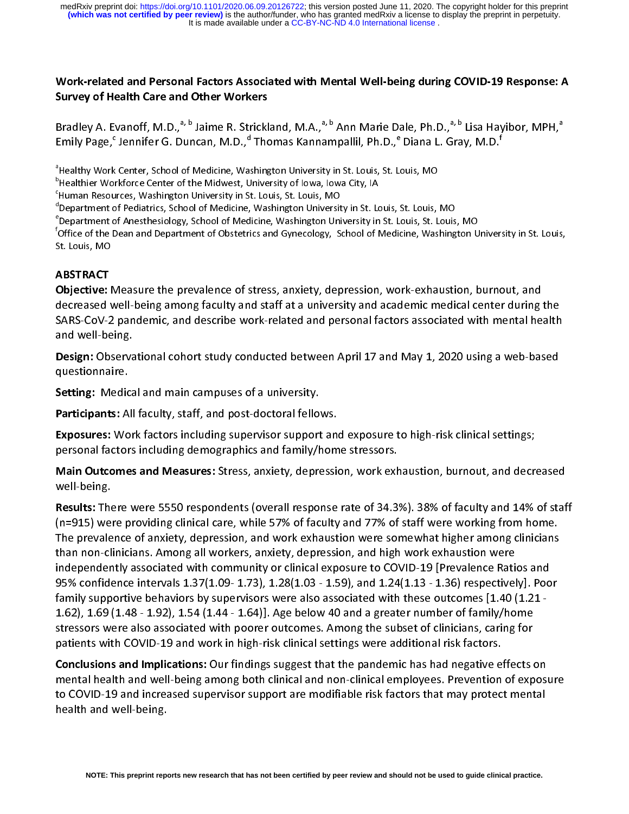It is made available under a [CC-BY-NC-ND 4.0 International license](http://creativecommons.org/licenses/by-nc-nd/4.0/) . **(which was not certified by peer review)** is the author/funder, who has granted medRxiv a license to display the preprint in perpetuity. medRxiv preprint doi: [https://doi.org/10.1101/2020.06.09.20126722;](https://doi.org/10.1101/2020.06.09.20126722) this version posted June 11, 2020. The copyright holder for this preprint

# Work-related and Personal Factors Associated with Mental Well-being during COVID-19 Response: A Survey of Health Care and Other Workers

[[I]<br>a b c d e f c

<sup>a</sup>Healthy Work Center, School of Medicine, Washington University in St. Louis, St. Louis, MO

meaniny work center, School of Medicine, Washington University in St. Louis, St. Louis, MO<br>"Healthier Workforce Center of the Midwest, University of Iowa, Iowa City, IA

I Cantiler Workforce Center of the Midwest, Oniversity of Iowa, Iowa City, IA<br><sup>c</sup>Human Resources, Washington University in St. Louis, St. Louis, MO

mannan Resources, Washington University in St. Louis, St. Louis, MO<br>dDepartment of Pediatrics, School of Medicine, Washington Universit

Department of Pediatrics, School of Medicine, Washington University in St. Louis, St. Louis, MO<br>"Department of Anesthesiology, School of Medicine, Washington University in St. Louis, St. Louis

Bradley A. Evanoff, M.D.,<sup>a,r.a</sup> Jaime R. Strickland, M.A.,<sup>a,s,a</sup> Ann Marie Dale, Ph.D.,<sup>a,s</sup> Lisa Hayibor, MPH,<sup>a</sup><br>Emily Page,<sup>c</sup> Jennifer G. Duncan, M.D.,<sup>d</sup> Thomas Kannampallil, Ph.D.,<sup>e</sup> Diana L. Gray, M.D.<sup>f</sup><br><sup>a</sup>Heal Emily Page, "<br>"Healthy Work"<br>"Healthier Work"<br>"Human Resou"<br>"Department c"<br>Department c"<br>"Office of the E<br>St. Louis, MO<br>**ABSTRACT**<br>Objective: N Jennifer G. Duncan, M.D.,"<br>Center, School of Medicine, Warkforce Center of the Midwest, U<br>rces, Washington University in S<br>of Pediatrics, School of Medicine,<br>f Anesthesiology, School of Med<br>Jean and Department of Obstetri<br> Thomas Kannampallil, Ph.D., Shington University in St. Louis, St. Luiversity of Iowa, Iowa City, IA<br>Luiversity of Iowa, Iowa City, IA<br>L. Louis, St. Louis, MO<br>Washington University in St. Louis,<br>Icine, Washington University Diana L. Gray, M.D.<br>
ouis, MO<br>
St. Louis, MO<br>
ouis, St. Louis, MO<br>
cine, Washington Univer<br>
rk-exhaustion, burno s<br>C Department of Anesthesiology, School of Medicine, Washington University in St. Louis, St. Louis, MO f Office of the Dean and Department of Obstetrics and Gynecology, School of Medicine, Washington University in St. Louis, St. Louis, MO

# **ABSTRACT**

abcdeffeld Objective: Measure the prevalence of stress, anxiety, depression, work-exhaustion, burnout, and Objective: Measure the prevalence of stress, anxiety, depression, work-exhaustion, burnout, and<br>decreased well-being among faculty and staff at a university and academic medical center during<br>SARS-CoV-2 pandemic, and descr SARS-CoV-2 pandemic, and describe work-related and personal factors associated with mental health<br>and well-being.<br>Design: Observational cohort study conducted between April 17 and May 1, 2020 using a web-based<br>questionnair

Sarstyle Design: Observational cohort study conducted between April 17 and May 1, 2020 using a web-based<br>
Sesign: Observational cohort study conducted between April 17 and May 1, 2020 using a web-based<br>
setting: Medical an

**Design: Observa<br>questionnaire.<br>Setting: Medica<br>Participants: All<br>Exposures: Wor<br>personal factors<br>Main Outcomes**<br>well-being.

**Design:** Observational cohort study conducted between April 17 and May 1, 2020 using a web-based<br>questionnaire.<br>**Setting:** Medical and main campuses of a university.<br>**Participants:** All faculty, staff, and post-doctoral f

Setting: Medic<br>Participants: A<br>Exposures: Wo<br>personal factor<br>Main Outcome<br>well-being.<br>Results: There<br>(n=915) were p Setting: Medical and main campuses of a university.<br>
Participants: All faculty, staff, and post-doctoral fello<br>
Exposures: Work factors including supervisor support<br>
personal factors including demographics and family/<br>
Mai **Participants:** All faculty, staff, and post-doctoral fellows.<br>**Exposures:** Work factors including supervisor support an<br>personal factors including demographics and family/hom<br>**Main Outcomes and Measures:** Stress, anxiety, Exposures: Work ractors including supervisor support and exposure to high-risk clinical settings,<br>personal factors including demographics and family/home stressors.<br>Main Outcomes and Measures: Stress, anxiety, depression, Main Outcomes and Measures: Stress, anxiety, depression, work exh<br>well-being.<br>Results: There were 5550 respondents (overall response rate of 34.3<br>(n=915) were providing clinical care, while 57% of faculty and 77% of<br>The pr Main Outcomes and Measures: Stress, anxiety, depression, work exhaustion, burnout, and decreased<br>well-being.<br>**Results:** There were 5550 respondents (overall response rate of 34.3%). 38% of faculty and 14% of staf<br>(n=915) w Results: The<br>(n=915) welf<br>The prevale<br>than non-cl<br>independer<br>95% confide<br>family supp<br>1.62), 1.69 (stressors we<br>patients wit Results: There were 5550 respondents (overall response rate of 34.3%). 56% of faculty and 14% of staff<br>(n=915) were providing clinical care, while 57% of faculty and 77% of staff were working from home.<br>The prevalence of a The prevalence of anxiety, depression, and work exhaustion were somewhat higher among clinicians<br>than non-clinicians. Among all workers, anxiety, depression, and high work exhaustion were<br>independently associated with comm than non-clinicians. Among all workers, anxiety, depression, and high work exhaustion were<br>independently associated with community or clinical exposure to COVID-19 [Prevalence Ratios and<br>95% confidence intervals 1.37(1.09independently associated with community or clinical exposure to COVID-19 [Prevalence Rati<br>95% confidence intervals 1.37(1.09- 1.73), 1.28(1.03 - 1.59), and 1.24(1.13 - 1.36) respectivel<br>family supportive behaviors by super 95% confidence intervals 1.37(1.09-1.73), 1.28(1.03 - 1.59), and 1.24(1.13 - 1.36) respectively]. Poorlamily supportive behaviors by supervisors were also associated with these outcomes [1.40 (1.21-1.62), 1.69 (1.48 - 1.92 family supportive behaviors by supervisors were also associated with these outcomes [1.40 (1.21-<br>1.62), 1.69 (1.48 - 1.92), 1.54 (1.44 - 1.64)]. Age below 40 and a greater number of family/home<br>stressors were also associat

1.62), 1.69 (1.48 - 1.92), 1.54 (1.44 - 1.64)]. Age below 40 and a greater number of family/home stressors were also associated with poorer outcomes. Among the subset of clinicians, caring for patients with COVID-19 and wo stressors were also associated with poorer outcomes. Among the subset of clinicians, caring for<br>patients with COVID-19 and work in high-risk clinical settings were additional risk factors.<br>**Conclusions and Implications:** O patients with COVID-19 and work in high-risk clinical settings were additional risk factors.<br>Conclusions and Implications: Our findings suggest that the pandemic has had negative effects of<br>mental health and well-being amo particular conclusions and Implications: Our findings suggest that the pandemic has had negative expension to COVID-19 and increased supervisor support are modifiable risk factors that may protect the dith and well-being.<br> Conclusions and Implications: Our findings suggest that the pandemic has had negative effects on<br>mental health and well-being among both clinical and non-clinical employees. Prevention of expose<br>to COVID-19 and increased s to COVID-19 and increased supervisor support are modifiable risk factors that may protect mental<br>health and well-being.<br>NOTE: This preprint reports new research that has not been certified by peer review and should not be to COVID-19 and the COVID-19 and increased supervisors of the model of the model of the model of the model of the model of the model of the model of the model of the model of the model of the model of the model of the mode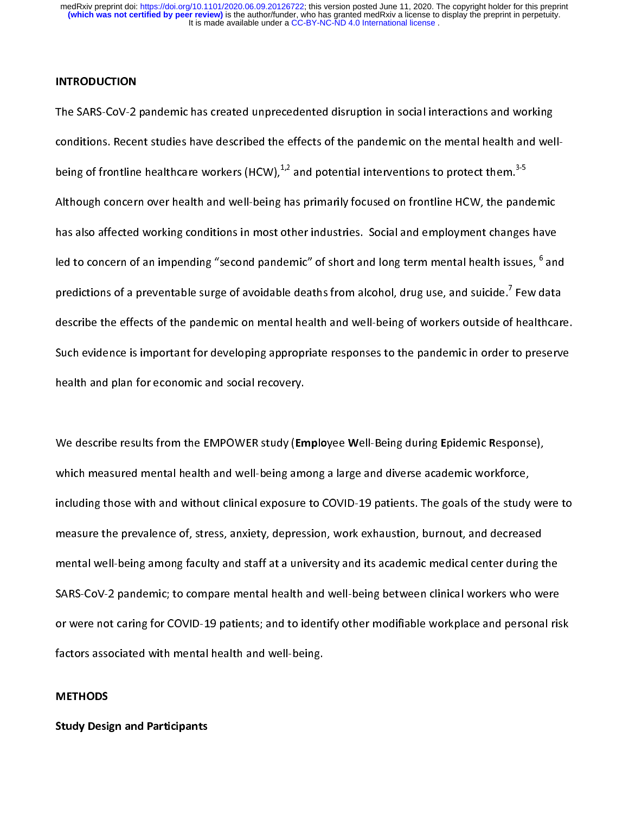#### INTRODUCTION

conditions. Recent studies have described the effects of the pandemic on the mental health and wel<br>being of frontline healthcare workers (HCW),<sup>1,2</sup> and potential interventions to protect them.<sup>3,5</sup><br>Although concern over h predictions of a preventable surge of avoidable deaths from alcohol, drug use, and suicide.<sup>7</sup> Few data being of frontline healthcare workers (HCW),<sup>3,2</sup> and potential interventions to protect them.<sup>3,3</sup><br>Although concern over health and well-being has primarily focused on frontline HCW, the pand<br>has also affected working con Although content of the though tends only the printing technical intertimate the typical parameters<br>has also affected working conditions in most other industries. Social and employment changes have<br>led to concern of an imp has also affected in most of an impending "second pandemic" of short and long term mental health issues, <sup>6</sup> and<br>predictions of a preventable surge of avoidable deaths from alcohol, drug use, and suicide.<sup>7</sup> Few data<br>descr led to concern of an impending "second pandemic" of short and long term mental health issues, "<br>predictions of a preventable surge of avoidable deaths from alcohol, drug use, and suicide.<sup>7</sup> Few d<br>describe the effects of t lata<br>hcare<br>serve predictions of a preventable surge of avoidable deaths from alcohol, drug use, and suicide.'<br>describe the effects of the pandemic on mental health and well-being of workers outside of<br>Such evidence is important for develop  $F$  healthcare<br>to preserve<br>onse), Such evidence is important for developing appropriate responses to the pandemic in order to preserve<br>health and plan for economic and social recovery.<br>We describe results from the EMPOWER study (Employee Well-Being during

Support is the part of the part of the part of the part of the health and plan for economic and social recovery.<br>We describe results from the EMPOWER study (Employee Well-Being during Epidemic Response),<br>which measured men Meadam and plan for economic and social recovery.<br>We describe results from the EMPOWER study (En<br>which measured mental health and well-being ame<br>including those with and without clinical exposure<br>measure the prevalence of, \<br>\<br>i<br>r Which measured mental health and well-being among a large and diverse academic workforce,<br>including those with and without clinical exposure to COVID-19 patients. The goals of the study we<br>measure the prevalence of, stress including those with and without clinical exposure to COVID-19 patients. The goals of the study<br>measure the prevalence of, stress, anxiety, depression, work exhaustion, burnout, and decrease<br>mental well-being among faculty including the prevalence of, stress, anxiety, depression, work exhaustion, burnout, and decreased<br>mental well-being among faculty and staff at a university and its academic medical center during the<br>SARS-CoV-2 pandemic; to mental well-being among faculty and staff at a university and its academic medical center during t<br>SARS-CoV-2 pandemic; to compare mental health and well-being between clinical workers who we<br>or were not caring for COVID-1 SARS-CoV-2 pandemic; to compare mental health and well-being between clinical workers who were<br>or were not caring for COVID-19 patients; and to identify other modifiable workplace and personal ris<br>factors associated with m Sor were not caring for COVID-19 patients; and to identify other modifiable workplace and personal rist<br>factors associated with mental health and well-being.<br>METHODS<br>Study Design and Participants or were not carried with mental health and well-being.<br>factors associated with mental health and well-being.<br>**Study Design and Participants** 

## **METHODS**

# METHODS<br>Study Design and Participants<br>And Well-being.com Study Design and Participants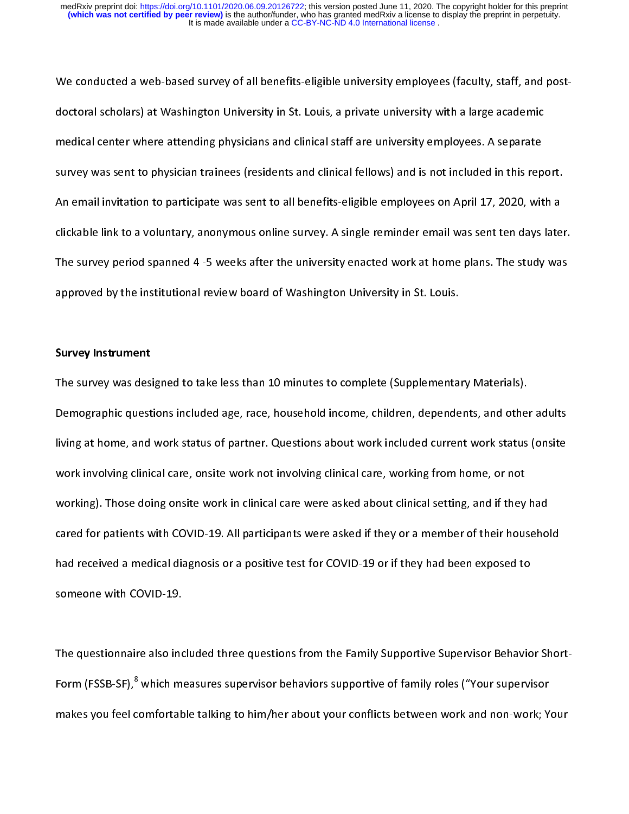We conducted a web-based survey of all benefits-eligible university employees (faculty, staff, and postdoctoral scholars) and clinical staff are university employees. A separate<br>doctory was sent to physician trainees (residents and clinical fellows) and is not included in this report<br>An email invitation to participate was s medical center media center who physical center when the attending are university employed in this rep<br>survey was sent to physician trainees (residents and clinical fellows) and is not included in this rep<br>An email invitat survey and invitation to participate was sent to all benefits-eligible employees on April 17, 2020, with a clickable link to a voluntary, anonymous online survey. A single reminder email was sent ten days later<br>The survey An email intimum of participate was sent to all benefits employees on April 17, 2023, ministers dickable link to a voluntary, anonymous online survey. A single reminder email was sent ten days late<br>The survey period spanne clickable link to a voluntary, anonymous online survey. A single reminder email was sent ten days later. The survey period spanned 4 -5 weeks after the university enacted work at home plans. The study was<br>approved by the institutional review board of Washington University in St. Louis.<br>Survey Instrument<br>The survey was designe

#### Survey Instrument

The survey by the institutional review board of Washington University in St. Louis.<br>Survey Instrument<br>The survey was designed to take less than 10 minutes to complete (Supplementary Materials).<br>Demographic questions includ Survey Instrument<br>The survey was designed to take less than 10 minutes to complete (Supplementa<br>Demographic questions included age, race, household income, children, depende<br>living at home, and work status of partner. Ques The survey was designed to take less than 10 minutes to complete (Supplementary Materials).<br>Demographic questions included age, race, household income, children, dependents, and other<br>living at home, and work status of par Iiving at home, and work status of partner. Questions about work included current work status (onsite<br>work involving clinical care, onsite work not involving clinical care, working from home, or not<br>working). Those doing o Work involving clinical care, onsite work not involving clinical care, working from home, or not<br>working). Those doing onsite work in clinical care were asked about clinical setting, and if they had<br>cared for patients with working). Those doing onsite work in clinical care were asked about clinical setting, and if they<br>cared for patients with COVID-19. All participants were asked if they or a member of their hous<br>had received a medical diagn cared for patients with COVID-19. All participants were asked if they or a member of their househo<br>had received a medical diagnosis or a positive test for COVID-19 or if they had been exposed to<br>someone with COVID-19.<br>The care for patients with COVID-19.<br>had received a medical diagnosis or a positive test for COVID-19 or if they had been exposed to<br>someone with COVID-19.<br>The questionnaire also included three questions from the Family Suppor

someone with COVID-19.<br>The questionnaire also included three questions from the Family Supportive Supervisor Behavio<br>Form (FSSB-SF),<sup>8</sup> which measures supervisor behaviors supportive of family roles ("Your supervi<br>makes yo The questionnaire also ind<br>Form (FSSB-SF),<sup>8</sup> which m<br>makes you feel comfortab  $\frac{1}{1}$ Form (FSSB-SF), <del>"</del><br>makes you feel c<br>makes you feel c omfortable talking to him/her about your conflicts between work and non-work; Y<br>omfortable talking to him/her about your conflicts between work and non-work; Y makes you feel comfortable talking to him/her about your conflicts between work and non-work; Your conflicts b<br>The conflict state between work; Your conflicts between work; Your conflicts between work; Your conflicts betw<br>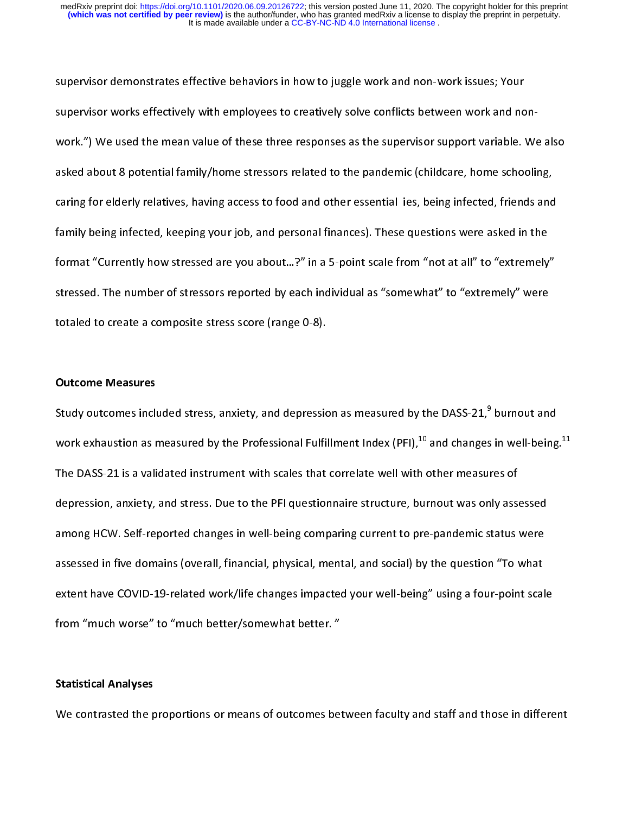supervisor works effectively with employees to creatively solve conflicts between work and no<br>work.") We used the mean value of these three responses as the supervisor support variable.<br>asked about 8 potential family/home format "Currently how stressed are you about...?" in a 5-point scale from "not at all" to "extremely" work.") We also are included to the mean value of the mean-peaple of the panding asked about 8 potential family/home stressors related to the pandemic (childcare, home schooling, caring for elderly relatives, having access caring for elderly relatives, having access to food and other essential ies, being infected, friends and<br>family being infected, keeping your job, and personal finances). These questions were asked in the<br>format "Currently carring for elderly relatively relative to foot the final term in the seculity relatively method and<br>family being infected, keeping your job, and personal finances). These questions were asked in the<br>format "Currently how format "Currently how stressed are you about...?" in a 5-point scale from "not at all" to "extremely<br>stressed. The number of stressors reported by each individual as "somewhat" to "extremely" were<br>totaled to create a compo fressed. The number of stressors reported by each individual as "somewhat" to "extremely" were<br>totaled to create a composite stress score (range 0-8).<br>Outcome Measures<br>Study outcomes included stress, anxiety, and depressio

#### Outcome Measures

stressed. The number of stressed. The number of stress and individual as "sometime" to "extremely" were<br>totaled to create a composite stress score (range 0-8).<br>Study outcomes included stress, anxiety, and depression as mea outcome Measures<br>Study outcomes included stress, anxiety, and depressic<br>Work exhaustion as measured by the Professional Fulfil<br>The DASS-21 is a validated instrument with scales that ( )<br>( )<br>( ) Study outcomes included stress, anxiety, and depression as measured by the DASS-21,"<br>work exhaustion as measured by the Professional Fulfillment Index (PFI),<sup>10</sup> and changes<br>The DASS-21 is a validated instrument with scale in well-being<br>res of<br>ly assessed<br>tatus were<br>1 "To what work exhaustion as measured by the Professional Fulfillment Index (PFI),<sup>20</sup> and changes in well-being.<sup>22</sup><br>The DASS-21 is a validated instrument with scales that correlate well with other measures of<br>depression, anxiety, The DASS-21 is a validate included into the DAS and terroric terroric terroric terroric terroric orrelations depression, anxiety, and stress. Due to the PFI questionnaire structure, burnout was only assessed and HCW. Selfamong HCW. Self-reported changes in well-being comparing current to pre-pandemic status were<br>assessed in five domains (overall, financial, physical, mental, and social) by the question "To what<br>extent have COVID-19-related assessed in five domains (overall, financial, physical, mental, and social) by the question "To what<br>extent have COVID-19-related work/life changes impacted your well-being" using a four-point scal<br>from "much worse" to "mu extent have COVID-19-related work/life changes impacted your well-being" using a four-point scal<br>from "much worse" to "much better/somewhat better. "<br>Statistical Analyses<br>We contrasted the proportions or means of outcomes extern "much worse" to "much better/somewhat better. "<br>Statistical Analyses<br>We contrasted the proportions or means of outcomes between faculty and staff and those in differe

#### Statistical Analyses

from "much better" to "much better, constrained better.<br>Statistical Analyses<br>We contrasted the proportions or means of outcomes bet We contrasted the proportions or means of outcomes between faculty and staff and those in different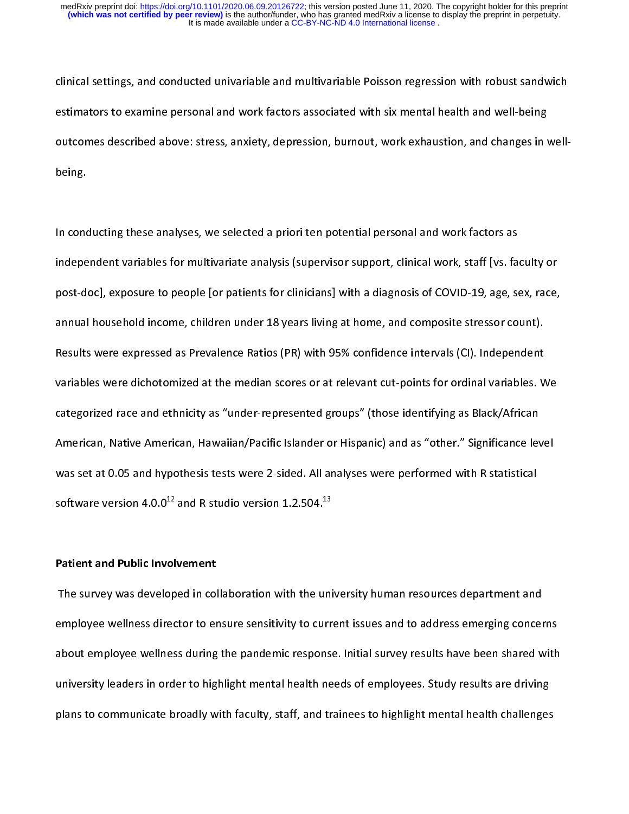estimators to examine personal and work factors associated with six mental health and well-being<br>outcomes described above: stress, anxiety, depression, burnout, work exhaustion, and changes in well-<br>being.<br>In conducting th estimates described above: stress, anxiety, depression, burnout, work exhaustion, and changes in v<br>being.<br>In conducting these analyses, we selected a priori ten potential personal and work factors as<br>independent variables

post-doc], exposure to people [or patients for clinicians] with a diagnosis of COVID-19, age, sex, race, bein<br>In cond<br>indepe<br>post-d<sub>i</sub><br>annual |<br>|<br>|<br>|<br>| Independent variables for multivariate analysis (supervisor support, clinical work, staff [vs. fa<br>post-doc], exposure to people [or patients for clinicians] with a diagnosis of COVID-19, age, so<br>annual household income, ch independent variables of COVID-19, age, sex, race,<br>induct docl, exposure to people [or patients for clinicians] with a diagnosis of COVID-19, age, sex, race,<br>annual household income, children under 18 years living at home, posted of people [or patition community] interacting to the core capps years, they<br>annual household income, children under 18 years living at home, and composite stressor count).<br>Results were expressed as Prevalence Ratios Results were expressed as Prevalence Ratios (PR) with 95% confidence intervals (CI). Independent<br>Variables were dichotomized at the median scores or at relevant cut-points for ordinal variables. V<br>Categorized race and ethn variables were dichotomized at the median scores or at relevant cut-points for ordinal variables. W<br>categorized race and ethnicity as "under-represented groups" (those identifying as Black/African<br>American, Native America categorized race and ethnicity as "under-represented groups" (those identifying as Black/African<br>American, Native American, Hawaiian/Pacific Islander or Hispanic) and as "other." Significance level<br>was set at 0.05 and hypo American, Native American, Hawaiian/Pacific Islander or Hispanic) and as "other." Significance lev<br>was set at 0.05 and hypothesis tests were 2-sided. All analyses were performed with R statistical<br>software version 4.0.0<sup>12</sup> Mas set at 0.05 and hypothesis tests were 2-sided. All analyses were performed with R statistical<br>software version 4.0.0<sup>12</sup> and R studio version 1.2.504.<sup>13</sup><br>Patient and Public Involvement<br>The survey was developed in coll

#### Patient and Public Involvement

was set at 0.05 and hypothesis tests were 2-sided. All analyses were performed with resulting<br>software version 4.0.0<sup>12</sup> and R studio version 1.2.504.<sup>13</sup><br>Patient and Public Involvement<br>The survey was developed in collabor software version 4.0.0<sup>12</sup> and R studio version 1.2.504.<sup>13</sup><br>Patient and Public Involvement<br>The survey was developed in collaboration with the uni<br>employee wellness director to ensure sensitivity to curr<br>about employee wel ||<br>|<br>|<br>|<br>| employee wellness director to ensure sensitivity to current issues and to address emerging concer<br>about employee wellness during the pandemic response. Initial survey results have been shared w<br>university leaders in order employee wellness during the pandemic response. Initial survey results have been shared with<br>university leaders in order to highlight mental health needs of employees. Study results are driving<br>plans to communicate broadly university leaders in order to highlight mental health needs of employees. Study results are driving<br>plans to communicate broadly with faculty, staff, and trainees to highlight mental health challenges<br>discussed with facul university contribution or inginight mental health needs to highlight mental health challenges.<br>plans to communicate broadly with faculty, staff, and trainees to highlight mental health challenges. plans to communicate broadly with faculty, staff, and training mental health challenges to higher mental  $\beta$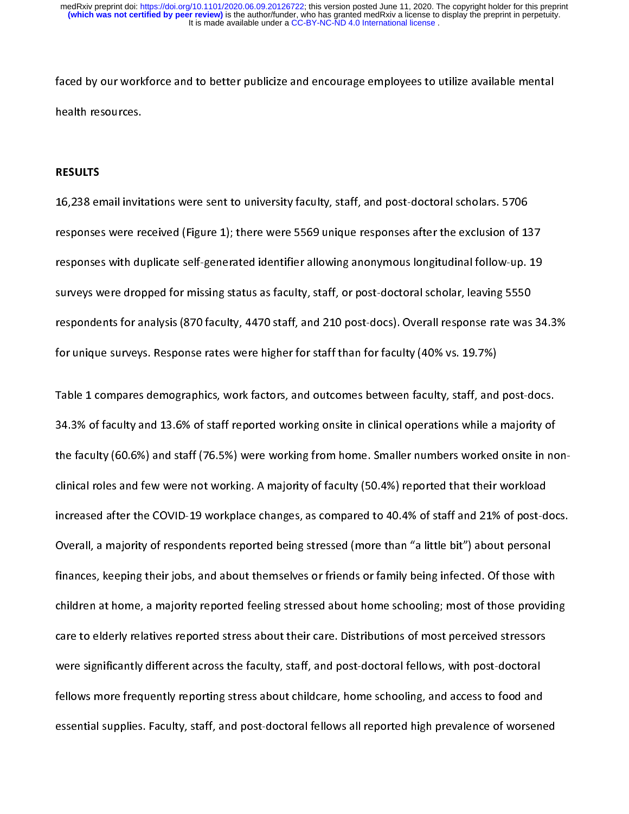#### RESULTS

faced by our control of the better publicial better publicial the sources.<br>Faced by our workforce and to better publicize and to better publicize and ended to be<br>The mental scholars. 5706<br>The mental of the mental of the me **RESULTS<br>16,238 email invit<br>responses were re<br>responses with du** |<br>|<br>|<br>|<br>| 19,232 email intimization and the same invitation, staff, and post-doctoral schema since to the sent to the se<br>16,238 responses with duplicate self-generated identifier allowing anonymous longitudinal follow-up.<br>16.39 surv responses with duplicate self-generated identifier allowing anonymous longitudinal follow-up. 19<br>surveys were dropped for missing status as faculty, staff, or post-doctoral scholar, leaving 5550<br>respondents for analysis (8 surveys were dropped for missing status as faculty, staff, or post-doctoral scholar, leaving 5550<br>respondents for analysis (870 faculty, 4470 staff, and 210 post-docs). Overall response rate was 34<br>for unique surveys. Resp

surveys were analysis (870 faculty, 4470 staff, and 210 post-docs). Overall response rate was<br>for unique surveys. Response rates were higher for staff than for faculty (40% vs. 19.7%)<br>Table 1 compares demographics, work fa For unique surveys. Response rates were higher for staff than for faculty (40% vs. 19.7%)<br>Table 1 compares demographics, work factors, and outcomes between faculty, staff, and post-docs.<br>34.3% of faculty and 13.6% of staff Table 1 compares demographics, work factors, and outcomes between faculty, staff, and<br>34.3% of faculty and 13.6% of staff reported working onsite in clinical operations while a<br>the faculty (60.6%) and staff (76.5%) were wo Table 1 compares in clinical operations while a majority of<br>The faculty (60.6%) and staff (76.5%) were working from home. Smaller numbers worked onsite in no<br>Clinical roles and few were not working. A majority of faculty ( 34.3 The faculty (60.6%) and staff (76.5%) were working from home. Smaller numbers worked onsite in no<br>clinical roles and few were not working. A majority of faculty (50.4%) reported that their workload<br>increased after the children at home, a majority reported feeling stressed about home schooling; most of those providing increased after the COVID-19 workplace changes, as compared to 40.4% of staff and 21% of post-d<br>Overall, a majority of respondents reported being stressed (more than "a little bit") about personal<br>finances, keeping their j Increased after the COVID-19 workplace intuity of comparison to 10.4% or the 19.1% of post-doctoral<br>Overall, a majority of respondents reported being stressed (more than "a little bit") about personal<br>finances, keeping the Thances, keeping their jobs, and about themselves or friends or family being infected. Of those with<br>children at home, a majority reported feeling stressed about home schooling; most of those providi<br>care to elderly relati children at home, a majority reported feeling stressed about home schooling; most of those providin<br>care to elderly relatives reported stress about their care. Distributions of most perceived stressors<br>were significantly d care to elderly relatives reported stress about their care. Distributions of most perceived stressors<br>were significantly different across the faculty, staff, and post-doctoral fellows, with post-doctoral<br>fellows more frequ were significantly different across the faculty, staff, and post-doctoral fellows, with post-doctoral<br>fellows more frequently reporting stress about childcare, home schooling, and access to food and<br>essential supplies. Fac reformantly and the faculty of the faculty, staff, and post-doctoral fellows all reported high prevalence of worsen<br>essential supplies. Faculty, staff, and post-doctoral fellows all reported high prevalence of worsen<br>essen fellows more frequently reporting stress about childrens, home schooling, and access to foot and<br>essential supplies. Faculty, staff, and post-doctoral fellows all reported high prevalence of worsene<br>exercise to worsened essential supplies. Faculty, staff, and post-doctoral fellows all reported high prevalence of worsened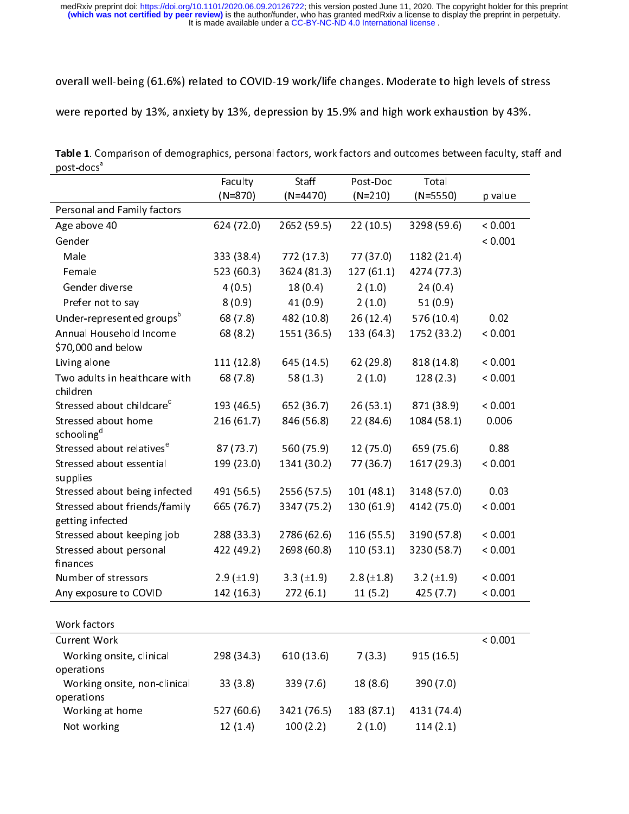|                        | Table 1. Comparison of demographics, personal factors, work factors and outcomes between faculty, staff and |
|------------------------|-------------------------------------------------------------------------------------------------------------|
| post-docs <sup>a</sup> |                                                                                                             |

|                                                          | Faculty<br>$(N=870)$ | Staff<br>$(N=4470)$ | Post-Doc<br>$(N=210)$ | Total<br>$(N=5550)$ | p value |
|----------------------------------------------------------|----------------------|---------------------|-----------------------|---------------------|---------|
| Personal and Family factors                              |                      |                     |                       |                     |         |
| Age above 40                                             | 624 (72.0)           | 2652 (59.5)         | 22(10.5)              | 3298 (59.6)         | < 0.001 |
| Gender                                                   |                      |                     |                       |                     | < 0.001 |
| Male                                                     | 333 (38.4)           | 772 (17.3)          | 77 (37.0)             | 1182 (21.4)         |         |
| Female                                                   | 523 (60.3)           | 3624 (81.3)         | 127(61.1)             | 4274 (77.3)         |         |
| Gender diverse                                           | 4(0.5)               | 18(0.4)             | 2(1.0)                | 24(0.4)             |         |
| Prefer not to say                                        | 8(0.9)               | 41(0.9)             | 2(1.0)                | 51(0.9)             |         |
| Under-represented groups <sup>b</sup>                    | 68(7.8)              | 482 (10.8)          | 26 (12.4)             | 576 (10.4)          | 0.02    |
| Annual Household Income<br>\$70,000 and below            | 68 (8.2)             | 1551 (36.5)         | 133 (64.3)            | 1752 (33.2)         | < 0.001 |
| Living alone                                             | 111(12.8)            | 645 (14.5)          | 62(29.8)              | 818 (14.8)          | < 0.001 |
| Two adults in healthcare with<br>children                | 68 (7.8)             | 58(1.3)             | 2(1.0)                | 128(2.3)            | < 0.001 |
| Stressed about childcare <sup>c</sup>                    | 193 (46.5)           | 652 (36.7)          | 26(53.1)              | 871 (38.9)          | < 0.001 |
| Stressed about home<br>schooling <sup>d</sup>            | 216(61.7)            | 846 (56.8)          | 22 (84.6)             | 1084 (58.1)         | 0.006   |
| Stressed about relatives <sup>e</sup>                    | 87(73.7)             | 560 (75.9)          | 12(75.0)              | 659 (75.6)          | 0.88    |
| Stressed about essential<br>supplies                     | 199 (23.0)           | 1341 (30.2)         | 77 (36.7)             | 1617 (29.3)         | < 0.001 |
| Stressed about being infected                            | 491 (56.5)           | 2556 (57.5)         | 101(48.1)             | 3148 (57.0)         | 0.03    |
| Stressed about friends/family<br>getting infected        | 665 (76.7)           | 3347 (75.2)         | 130(61.9)             | 4142 (75.0)         | < 0.001 |
| Stressed about keeping job                               | 288 (33.3)           | 2786 (62.6)         | 116(55.5)             | 3190 (57.8)         | < 0.001 |
| Stressed about personal<br>finances                      | 422 (49.2)           | 2698 (60.8)         | 110(53.1)             | 3230 (58.7)         | < 0.001 |
| Number of stressors                                      | $2.9$ ( $\pm$ 1.9)   | $3.3$ ( $\pm 1.9$ ) | $2.8 (\pm 1.8)$       | $3.2$ ( $\pm$ 1.9)  | < 0.001 |
| Any exposure to COVID                                    | 142 (16.3)           | 272(6.1)            | 11(5.2)               | 425 (7.7)           | < 0.001 |
| Work factors                                             |                      |                     |                       |                     |         |
| <b>Current Work</b>                                      |                      |                     |                       |                     | < 0.001 |
| Working onsite, clinical                                 | 298 (34.3)           | 610 (13.6)          | 7(3.3)                | 915 (16.5)          |         |
| operations<br>Working onsite, non-clinical<br>operations | 33(3.8)              | 339 (7.6)           | 18 (8.6)              | 390 (7.0)           |         |
| Working at home                                          | 527 (60.6)           | 3421 (76.5)         | 183 (87.1)            | 4131 (74.4)         |         |
|                                                          | 12(14)               | 100(2.2)            | 2(1.0)                | 114(2.1)            |         |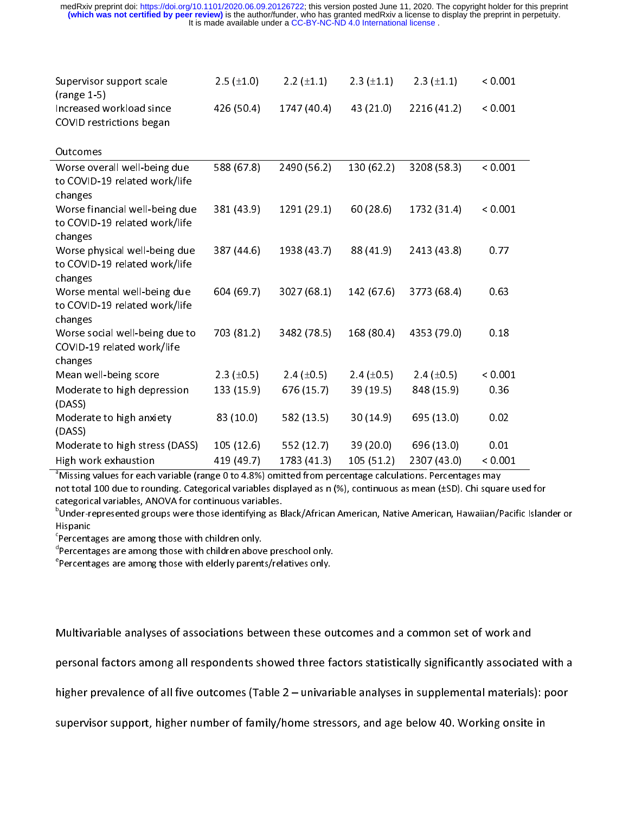| Supervisor support scale<br>$(range 1-5)$                                                                                                                     | $2.5$ ( $\pm 1.0$ ) | $2.2$ ( $\pm$ 1.1) | $2.3 (\pm 1.1)$ | $2.3$ ( $\pm$ 1.1) | < 0.001 |
|---------------------------------------------------------------------------------------------------------------------------------------------------------------|---------------------|--------------------|-----------------|--------------------|---------|
| Increased workload since                                                                                                                                      | 426 (50.4)          | 1747 (40.4)        | 43 (21.0)       | 2216 (41.2)        | < 0.001 |
| COVID restrictions began                                                                                                                                      |                     |                    |                 |                    |         |
| Outcomes                                                                                                                                                      |                     |                    |                 |                    |         |
|                                                                                                                                                               |                     |                    |                 |                    |         |
| Worse overall well-being due                                                                                                                                  | 588 (67.8)          | 2490 (56.2)        | 130 (62.2)      | 3208 (58.3)        | < 0.001 |
| to COVID-19 related work/life                                                                                                                                 |                     |                    |                 |                    |         |
| changes                                                                                                                                                       |                     |                    |                 |                    |         |
| Worse financial well-being due                                                                                                                                | 381 (43.9)          | 1291 (29.1)        | 60(28.6)        | 1732 (31.4)        | < 0.001 |
| to COVID-19 related work/life                                                                                                                                 |                     |                    |                 |                    |         |
| changes                                                                                                                                                       |                     |                    |                 |                    |         |
| Worse physical well-being due                                                                                                                                 | 387 (44.6)          | 1938 (43.7)        | 88 (41.9)       | 2413 (43.8)        | 0.77    |
| to COVID-19 related work/life                                                                                                                                 |                     |                    |                 |                    |         |
| changes                                                                                                                                                       |                     |                    |                 |                    |         |
| Worse mental well-being due                                                                                                                                   | 604 (69.7)          | 3027 (68.1)        | 142 (67.6)      | 3773 (68.4)        | 0.63    |
| to COVID-19 related work/life                                                                                                                                 |                     |                    |                 |                    |         |
| changes                                                                                                                                                       |                     |                    |                 |                    |         |
| Worse social well-being due to                                                                                                                                | 703 (81.2)          | 3482 (78.5)        | 168 (80.4)      | 4353 (79.0)        | 0.18    |
| COVID-19 related work/life                                                                                                                                    |                     |                    |                 |                    |         |
| changes                                                                                                                                                       |                     |                    |                 |                    |         |
| Mean well-being score                                                                                                                                         | 2.3 $(\pm 0.5)$     | 2.4 $(\pm 0.5)$    | 2.4 $(\pm 0.5)$ | 2.4 $(\pm 0.5)$    | < 0.001 |
| Moderate to high depression                                                                                                                                   | 133 (15.9)          | 676 (15.7)         | 39 (19.5)       | 848 (15.9)         | 0.36    |
| (DASS)                                                                                                                                                        |                     |                    |                 |                    |         |
| Moderate to high anxiety                                                                                                                                      | 83 (10.0)           | 582 (13.5)         | 30(14.9)        | 695 (13.0)         | 0.02    |
| (DASS)                                                                                                                                                        |                     |                    |                 |                    |         |
| Moderate to high stress (DASS)                                                                                                                                | 105(12.6)           | 552 (12.7)         | 39 (20.0)       | 696 (13.0)         | 0.01    |
| High work exhaustion                                                                                                                                          | 419 (49.7)          | 1783 (41.3)        | 105 (51.2)      | 2307 (43.0)        | < 0.001 |
| <sup>a</sup> Missing values for each variable (range 0 to 4.8%) omitted from percentage calculations. Percentages may                                         |                     |                    |                 |                    |         |
| not total 100 due to rounding. Categorical variables displayed as n (%), continuous as mean (±SD). Chi square use                                             |                     |                    |                 |                    |         |
| categorical variables, ANOVA for continuous variables.                                                                                                        |                     |                    |                 |                    |         |
| <sup>b</sup> Under-represented groups were those identifying as Black/African American, Native American, Hawaiian/Pacific                                     |                     |                    |                 |                    |         |
| Hispanic                                                                                                                                                      |                     |                    |                 |                    |         |
| ${}^{\text{c}}$ Percentages are among those with children only.                                                                                               |                     |                    |                 |                    |         |
| <sup>d</sup> Percentages are among those with children above preschool only.<br><sup>e</sup> Percentages are among those with elderly parents/relatives only. |                     |                    |                 |                    |         |
|                                                                                                                                                               |                     |                    |                 |                    |         |

(Dasserter)<br>Modera<br>High we<br><sup>a</sup>Missing<br>not tota<br>categoria<br>"Percent"<br>Percent"<br>Percent"<br>Percent" Migh work exhaustion<br>  $419 (49.7)$  1783 (41.3) 105 (51.2) 2307 (43.0) < 0.001<br>
"Missing values for each variable (range 0 to 4.8%) omitted from percentage calculations. Percentages may<br>
mot total 100 due to rounding. Categ "Missing values for each variable (range 0 to 4.8%) omitted from percentage calculations. Percentages may<br>not total 100 due to rounding. Categorical variables displayed as n (%), continuous as mean (±SD). Chi square us<br>cat  $M_{\rm H}$  and  $M_{\rm H}$  and  $\sigma$  each variable (range 0 to 4.8%) omitted from percentage calculations. Percentages may be resulted from percentages may be resulted from percentages may be resulted from percentages may be re not total 100 due to rounding. Categorical variables displayed as n (%), continuous as mean (±SD). Chi square used for categorical variables, ANOVA for continuous variables.

<sup>-</sup>Under-represented groups were those identifying as Black/African American, Native American, Hawaiian/Pacific Islander or<br>Uispania

「「「」 とうしょう しょうしょう しょうしょう こうしょう しょうしょう しょうしょう しょうしょう しょうしょう しょうしゃ

Multimariable analyses of all respondents showed three factors statistically significantly associated<br>higher prevalence of all five outcomes (Table 2 – univariable analyses in supplemental materials<br>supervisor support, hig personal factors among all response in the factors and the factors showed three factors, and internal materials): poor<br>higher prevalence of all five outcomes (Table 2 – univariable analyses in supplemental materials): poor

higher prevalence of all filters of family/home stressors, and age below 40. Working onsite in support, higher number of family/home stressors, and age below 40. Working onsite in the support of the supplemental materials  $s_{\rm F}$  supervisor supervisor supervisors, and age below  $\sigma_{\rm F}$  and age below  $\sigma_{\rm F}$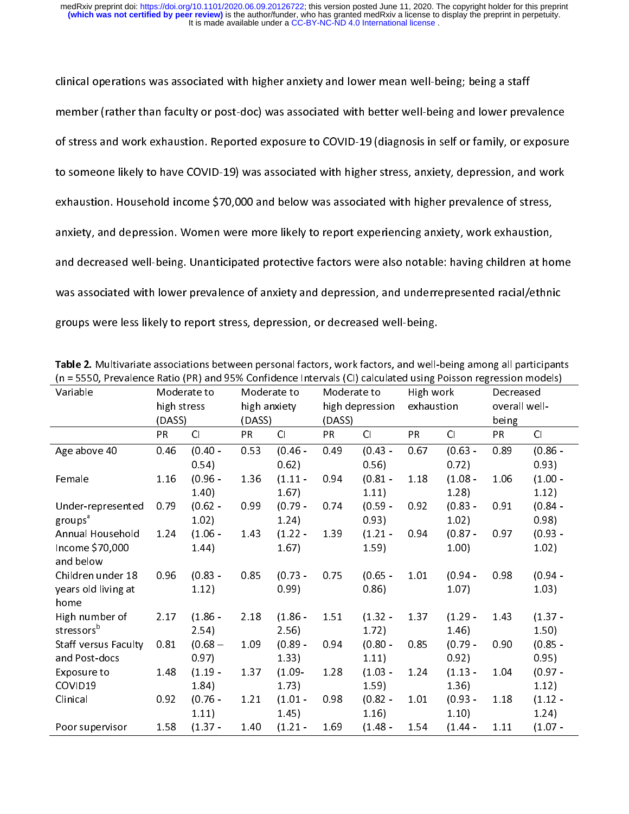clinical operations was associated with better well-being and lower prev<br>of stress and work exhaustion. Reported exposure to COVID-19 (diagnosis in self or family, or ex<br>to someone likely to have COVID-19) was associated w of stress and work exhaustion. Reported exposure to COVID-19 (diagnosis in self or family, or exposure<br>to someone likely to have COVID-19) was associated with higher stress, anxiety, depression, and work<br>exhaustion. Househ of someone likely to have COVID-19) was associated with higher stress, anxiety, depression, and work<br>exhaustion. Household income \$70,000 and below was associated with higher prevalence of stress,<br>anxiety, and depression. exhaustion. Household income \$70,000 and below was associated with higher prevalence of stress,<br>anxiety, and depression. Women were more likely to report experiencing anxiety, work exhaustion,<br>and decreased well-being. Una anxiety, and depression. Women were more likely to report experiencing anxiety, work exhaustion,<br>and decreased well-being. Unanticipated protective factors were also notable: having children at ho<br>was associated with lower and decreased well-being. Unanticipated protective factors were also notable: having children at ho<br>was associated with lower prevalence of anxiety and depression, and underrepresented racial/ethni<br>groups were less likely was associated with lower prevalence of anxiety and depression, and underrepresented racial/ethnic<br>groups were less likely to report stress, depression, or decreased well-being.<br> **Table 2.** Multivariate associations betwee

| groups were less likely to report stress, depression, or decreased well-being.                                                                                                                                                     |             |           |              |           |             |                 |            |           |               |           |  |
|------------------------------------------------------------------------------------------------------------------------------------------------------------------------------------------------------------------------------------|-------------|-----------|--------------|-----------|-------------|-----------------|------------|-----------|---------------|-----------|--|
| Table 2. Multivariate associations between personal factors, work factors, and well-being among all participants<br>(n = 5550, Prevalence Ratio (PR) and 95% Confidence Intervals (CI) calculated using Poisson regression models) |             |           |              |           |             |                 |            |           |               |           |  |
| Moderate to<br>Variable                                                                                                                                                                                                            |             |           | Moderate to  |           | Moderate to |                 | High work  |           | Decreased     |           |  |
|                                                                                                                                                                                                                                    | high stress |           | high anxiety |           |             | high depression | exhaustion |           | overall well- |           |  |
|                                                                                                                                                                                                                                    | (DASS)      |           | (DASS)       |           | (DASS)      |                 |            |           | being         |           |  |
|                                                                                                                                                                                                                                    | <b>PR</b>   | CI        | PR           | Cl        | <b>PR</b>   | CI              | PR.        | CI        | <b>PR</b>     | CI        |  |
| Age above 40                                                                                                                                                                                                                       | 0.46        | $(0.40 -$ | 0.53         | $(0.46 -$ | 0.49        | $(0.43 -$       | 0.67       | $(0.63 -$ | 0.89          | $(0.86 -$ |  |
|                                                                                                                                                                                                                                    |             | 0.54)     |              | 0.62)     |             | 0.56)           |            | 0.72)     |               | 0.93)     |  |
| Female                                                                                                                                                                                                                             | 1.16        | $(0.96 -$ | 1.36         | $(1.11 -$ | 0.94        | $(0.81 -$       | 1.18       | $(1.08 -$ | 1.06          | $(1.00 -$ |  |
|                                                                                                                                                                                                                                    |             | 1.40      |              | 1.67)     |             | 1.11)           |            | 1.28      |               | 1.12)     |  |
| Under-represented                                                                                                                                                                                                                  | 0.79        | $(0.62 -$ | 0.99         | $(0.79 -$ | 0.74        | $(0.59 -$       | 0.92       | $(0.83 -$ | 0.91          | $(0.84 -$ |  |
| groups <sup>a</sup>                                                                                                                                                                                                                |             | 1.02)     |              | 1.24)     |             | 0.93)           |            | 1.02)     |               | 0.98)     |  |
| Annual Household                                                                                                                                                                                                                   | 1.24        | $(1.06 -$ | 1.43         | $(1.22 -$ | 1.39        | $(1.21 -$       | 0.94       | $(0.87 -$ | 0.97          | $(0.93 -$ |  |
| Income \$70,000<br>and below                                                                                                                                                                                                       |             | 1.44)     |              | 1.67)     |             | 1.59)           |            | 1.00      |               | 1.02)     |  |
| Children under 18                                                                                                                                                                                                                  | 0.96        | $(0.83 -$ | 0.85         | $(0.73 -$ | 0.75        | $(0.65 -$       | 1.01       | $(0.94 -$ | 0.98          | $(0.94 -$ |  |
| years old living at<br>home                                                                                                                                                                                                        |             | 1.12)     |              | 0.99)     |             | 0.86)           |            | $1.07$ )  |               | 1.03)     |  |
| High number of                                                                                                                                                                                                                     | 2.17        | $(1.86 -$ | 2.18         | $(1.86 -$ | 1.51        | $(1.32 -$       | 1.37       | $(1.29 -$ | 1.43          | $(1.37 -$ |  |
| stressors <sup>b</sup>                                                                                                                                                                                                             |             | 2.54)     |              | 2.56)     |             | 1.72)           |            | 1.46)     |               | 1.50)     |  |
| <b>Staff versus Faculty</b>                                                                                                                                                                                                        | 081         | $(0.68 -$ | 1.09         | $(0.89 -$ | 0.94        | $(0.80 -$       | 0.85       | $(0.79 -$ | 0.90          | $(0.85 -$ |  |
| and Post-docs                                                                                                                                                                                                                      |             | 0.97)     |              | 1.33)     |             | $1.11$ )        |            | 0.92)     |               | 0.95)     |  |
| Exposure to                                                                                                                                                                                                                        | 1.48        | $(1.19 -$ | 137          | $(1.09 -$ | 1.28        | $(1.03 -$       | 1.24       | $(1.13 -$ | 1.04          | $(0.97 -$ |  |
| COVID19                                                                                                                                                                                                                            |             | 1.84)     |              | 1.73)     |             | 1.59)           |            | 1.36)     |               | 1.12)     |  |
| Clinical                                                                                                                                                                                                                           | 0.92        | $(0.76 -$ | 1.21         | $(1.01 -$ | 0.98        | $(0.82 -$       | 1.01       | $(0.93 -$ | 1.18          | $(1.12 -$ |  |
|                                                                                                                                                                                                                                    |             | 1.11)     |              | 1.45)     |             | 1.16)           |            | 1.10)     |               | 1.24)     |  |
| Poor supervisor                                                                                                                                                                                                                    | 1.58        | $(1.37 -$ | 1.40         | $(1.21 -$ | 1.69        | $(1.48 -$       | 1.54       | $(1.44 -$ | 1.11          | $(1.07 -$ |  |
|                                                                                                                                                                                                                                    |             |           |              |           |             |                 |            |           |               |           |  |

Table 2. Multivariate associations between personal factors, work factors, and well-being among all participants<br>In = 5550, Provelance Patio (PP) and 95% Confidence Intervals (CI) calculated using Poisson regression models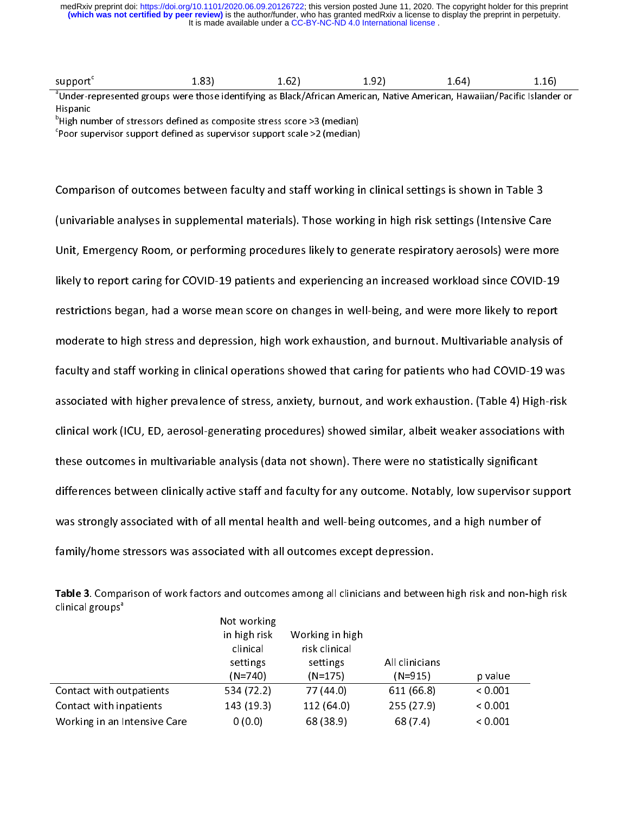It is made available under a [CC-BY-NC-ND 4.0 International license](http://creativecommons.org/licenses/by-nc-nd/4.0/) . **(which was not certified by peer review)** is the author/funder, who has granted medRxiv a license to display the preprint in perpetuity. medRxiv preprint doi: [https://doi.org/10.1101/2020.06.09.20126722;](https://doi.org/10.1101/2020.06.09.20126722) this version posted June 11, 2020. The copyright holder for this preprint

| supnertii | $\sim$ $\sim$ | OZ | $-1$<br>---- | hL |  |
|-----------|---------------|----|--------------|----|--|
|           |               |    |              |    |  |

support<sup>c</sup> 1.83) 1.62) 1.92) 1.64) 1.16) a Under-represented groups were those identifying as Black/African American, Native American, Hawaiian/Pacific Islander or

nnspanne<br><sup>b</sup>High nui

High number of stressors defined as composite stress score >3 (median) c Poor supervisor support defined as supervisor support scale >2 (median)

(<br>(<br>|<br>| Comparison of outcomes between faculty and state is the state of outputs of the state of the state of the state<br>Constitution of the state of the state of the state of the state of the state of the state of the state of the Unit, Emergency Room, or performing procedures likely to generate respiratory aerosols) were more<br>Unit, Emergency Room, or performing procedures likely to generate respiratory aerosols) were more<br>Unitely to report caring f Iikely to report caring for COVID-19 patients and experiencing an increased workload since COVID-19<br>restrictions began, had a worse mean score on changes in well-being, and were more likely to report<br>moderate to high stres restrictions began, had a worse mean score on changes in well-being, and were more likely to report<br>moderate to high stress and depression, high work exhaustion, and burnout. Multivariable analysis of<br>faculty and staff wor restrictions began, had a work what stinction, and burnout. Multivariable analysis of<br>faculty and staff working in clinical operations showed that caring for patients who had COVID-19 wa<br>associated with higher prevalence o moderate to high stress and depression, high at the latteration and transmitted analysis of faculty and staff working in clinical operations showed that caring for patients who had COVID-19 was<br>associated with higher preva faculty associated with higher prevalence of stress, anxiety, burnout, and work exhaustion. (Table 4) High-risk<br>clinical work (ICU, ED, aerosol-generating procedures) showed similar, albeit weaker associations with<br>these o associated with higher prevalence of stress, and stress, and a term emisterial (table 4) High-risk.<br>Clinical work (ICU, ED, aerosol-generating procedures) showed similar, albeit weaker associations with<br>these outcomes in m these outcomes in multivariable analysis (data not shown). There were no statistically significant<br>differences between clinically active staff and faculty for any outcome. Notably, low supervisor suppor<br>was strongly associ differences between clinically active staff and faculty for any outcome. Notably, low supervisor st<br>was strongly associated with of all mental health and well-being outcomes, and a high number of<br>family/home stressors was Mas strongly associated with of all mental health and well-being outcomes, and a high number of<br>family/home stressors was associated with all outcomes except depression.<br>Table 3. Comparison of work factors and outcomes amo

| ິ                                                                                                                                       |              |                 |                |         |  |  |  |  |  |  |  |
|-----------------------------------------------------------------------------------------------------------------------------------------|--------------|-----------------|----------------|---------|--|--|--|--|--|--|--|
| family/home stressors was associated with all outcomes except depression.                                                               |              |                 |                |         |  |  |  |  |  |  |  |
| Table 3. Comparison of work factors and outcomes among all clinicians and between high risk and non-hig<br>clinical groups <sup>a</sup> |              |                 |                |         |  |  |  |  |  |  |  |
|                                                                                                                                         | Not working  |                 |                |         |  |  |  |  |  |  |  |
|                                                                                                                                         | in high risk | Working in high |                |         |  |  |  |  |  |  |  |
|                                                                                                                                         | clinical     | risk clinical   |                |         |  |  |  |  |  |  |  |
|                                                                                                                                         | settings     | settings        | All clinicians |         |  |  |  |  |  |  |  |
|                                                                                                                                         | $(N=740)$    | $(N=175)$       | $(N=915)$      | p value |  |  |  |  |  |  |  |
| Contact with outpatients                                                                                                                | 534 (72.2)   | 77 (44.0)       | 611 (66.8)     | < 0.001 |  |  |  |  |  |  |  |
| Contact with inpatients                                                                                                                 | 143 (19.3)   | 112 (64.0)      | 255 (27.9)     | < 0.001 |  |  |  |  |  |  |  |
| Working in an Intensive Care                                                                                                            | 0(0.0)       | 68 (38.9)       | 68 (7.4)       | < 0.001 |  |  |  |  |  |  |  |
|                                                                                                                                         |              |                 |                |         |  |  |  |  |  |  |  |

Table 3. Comparison of work factors and outcomes among all clinicians and between high risk and non-high risk  $clinical$  groups<sup>a</sup>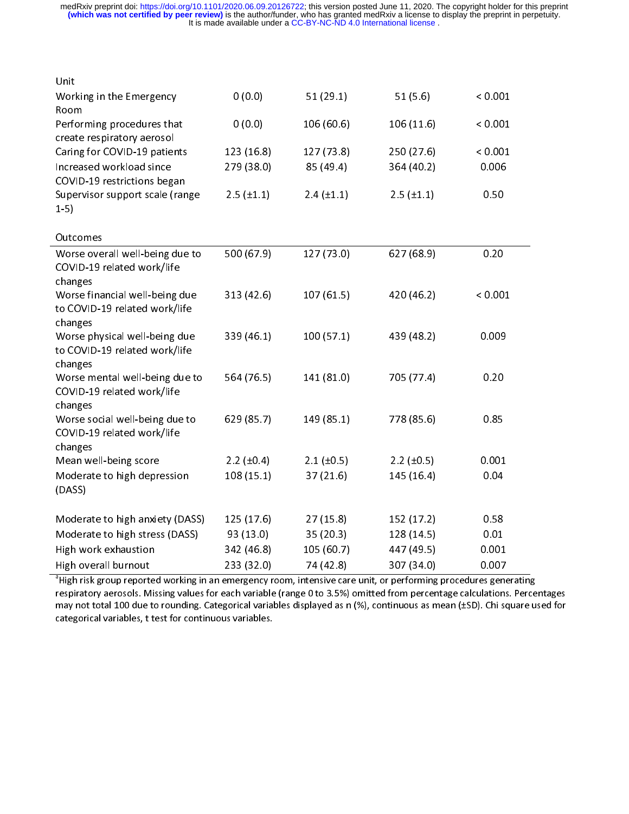| Unit                                                                       |                     |                 |                     |         |
|----------------------------------------------------------------------------|---------------------|-----------------|---------------------|---------|
| Working in the Emergency<br>Room                                           | 0(0.0)              | 51(29.1)        | 51 $(5.6)$          | < 0.001 |
| Performing procedures that<br>create respiratory aerosol                   | 0(0.0)              | 106 (60.6)      | 106 (11.6)          | < 0.001 |
| Caring for COVID-19 patients                                               | 123 (16.8)          | 127 (73.8)      | 250 (27.6)          | < 0.001 |
| Increased workload since<br>COVID-19 restrictions began                    | 279 (38.0)          | 85 (49.4)       | 364 (40.2)          | 0.006   |
| Supervisor support scale (range<br>$1-5)$                                  | $2.5$ ( $\pm$ 1.1)  | $2.4 (\pm 1.1)$ | $2.5$ ( $\pm$ 1.1)  | 0.50    |
| Outcomes                                                                   |                     |                 |                     |         |
| Worse overall well-being due to<br>COVID-19 related work/life<br>changes   | 500 (67.9)          | 127(73.0)       | 627 (68.9)          | 0.20    |
| Worse financial well-being due<br>to COVID-19 related work/life<br>changes | 313 (42.6)          | 107 (61.5)      | 420 (46.2)          | < 0.001 |
| Worse physical well-being due<br>to COVID-19 related work/life<br>changes  | 339 (46.1)          | 100(57.1)       | 439 (48.2)          | 0.009   |
| Worse mental well-being due to<br>COVID-19 related work/life<br>changes    | 564 (76.5)          | 141 (81.0)      | 705 (77.4)          | 0.20    |
| Worse social well-being due to<br>COVID-19 related work/life<br>changes    | 629(85.7)           | 149 (85.1)      | 778 (85.6)          | 0.85    |
| Mean well-being score                                                      | $2.2$ ( $\pm 0.4$ ) | $2.1 (\pm 0.5)$ | $2.2$ ( $\pm 0.5$ ) | 0.001   |
| Moderate to high depression<br>(DASS)                                      | 108(15.1)           | 37(21.6)        | 145 (16.4)          | 0.04    |
| Moderate to high anxiety (DASS)                                            | 125 (17.6)          | 27(15.8)        | 152 (17.2)          | 0.58    |
| Moderate to high stress (DASS)                                             | 93 (13.0)           | 35(20.3)        | 128 (14.5)          | 0.01    |
| High work exhaustion                                                       | 342 (46.8)          | 105 (60.7)      | 447 (49.5)          | 0.001   |
| High overall burnout                                                       | 233 (32.0)          | 74 (42.8)       | 307 (34.0)          | 0.007   |

and the state overall burnout 233 (32.0) 74 (32.0) 74 (32.0) 74 (33.0) 74 (33.0) 74 (33.0) 75 (33.0) 76 (33.0) 76 (33.0) 76 (33.0) 76 (33.0) 76 (33.0) 76 (33.0) 76 (33.0) 76 (33.0) 76 (33.0) 76 (33.0) 76 (33.0) 76 (33.0) 7 respiratory aerosols. Missing values for each variable (range 0 to 3.5%) omitted from percentage calculations. Percentages may not total 100 due to rounding. Categorical variables displayed as n (%), continuous as mean (±SD). Chi square used for categorical variables, t test for continuous variables.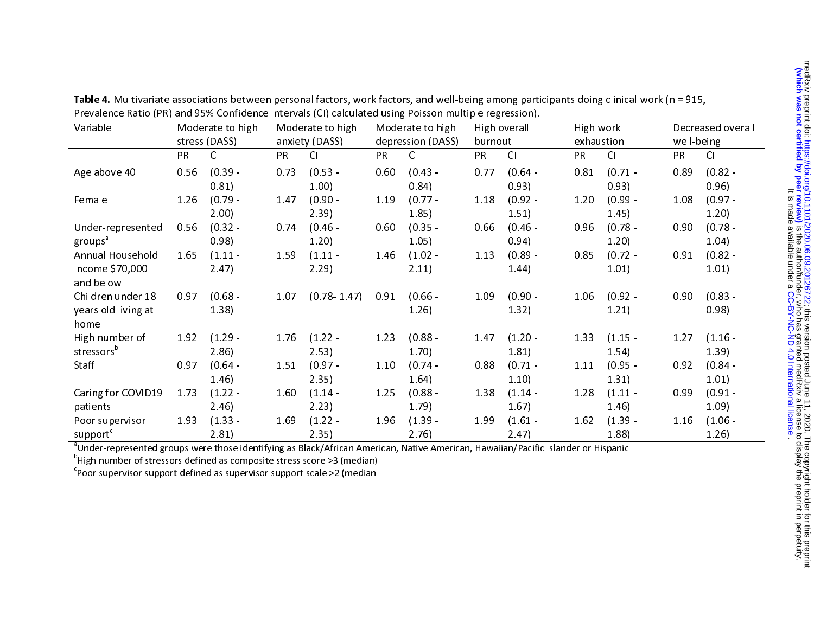| Variable                     | Moderate to high<br>Moderate to high<br>stress (DASS)<br>anxiety (DASS) |           | Moderate to high<br>depression (DASS) | High overall<br>burnout |      | High work<br>exhaustion |           | Decreased overall<br>well-being |           |           |      |           |
|------------------------------|-------------------------------------------------------------------------|-----------|---------------------------------------|-------------------------|------|-------------------------|-----------|---------------------------------|-----------|-----------|------|-----------|
|                              | PR.                                                                     | CI        | PR                                    | CI                      | PR.  | CI                      | <b>PR</b> | CI                              | <b>PR</b> | CI        | PR   | Cl        |
| Age above 40                 | 0.56                                                                    | $(0.39 -$ | 0.73                                  | $(0.53 -$               | 0.60 | $(0.43 -$               | 0.77      | $(0.64 -$                       | 0.81      | $(0.71 -$ | 0.89 | $(0.82 -$ |
|                              |                                                                         | 0.81)     |                                       | 1.00)                   |      | 0.84)                   |           | 0.93)                           |           | 0.93)     |      | 0.96)     |
| Female                       | 1.26                                                                    | $(0.79 -$ | 1.47                                  | $(0.90 -$               | 1.19 | $(0.77 -$               | 1.18      | $(0.92 -$                       | 1.20      | $(0.99 -$ | 1.08 | $(0.97 -$ |
|                              |                                                                         | 2.00)     |                                       | 2.39)                   |      | 1.85)                   |           | 1.51)                           |           | 1.45)     |      | 1.20)     |
| Under-represented            | 0.56                                                                    | $(0.32 -$ | 0.74                                  | $(0.46 -$               | 0.60 | $(0.35 -$               | 0.66      | $(0.46 -$                       | 0.96      | $(0.78 -$ | 0.90 | $(0.78 -$ |
| groups <sup>a</sup>          |                                                                         | 0.98)     |                                       | 1.20                    |      | 1.05)                   |           | 0.94)                           |           | 1.20)     |      | 1.04)     |
| Annual Household             | 1.65                                                                    | $(1.11 -$ | 1.59                                  | $(1.11 -$               | 1.46 | $(1.02 -$               | 1.13      | $(0.89 -$                       | 0.85      | $(0.72 -$ | 0.91 | $(0.82 -$ |
| Income \$70,000<br>and below |                                                                         | 2.47      |                                       | 2.29                    |      | 2.11)                   |           | 1.44)                           |           | 1.01)     |      | 1.01)     |
| Children under 18            | 0.97                                                                    | $(0.68 -$ | 1.07                                  | $(0.78 - 1.47)$         | 0.91 | $(0.66 -$               | 1.09      | $(0.90 -$                       | 1.06      | $(0.92 -$ | 0.90 | $(0.83 -$ |
| years old living at          |                                                                         | 1.38)     |                                       |                         |      | 1.26)                   |           | 1.32)                           |           | 1.21)     |      | 0.98)     |
| home                         |                                                                         |           |                                       |                         |      |                         |           |                                 |           |           |      |           |
| High number of               | 1.92                                                                    | $(1.29 -$ | 1.76                                  | $(1.22 -$               | 1.23 | $(0.88 -$               | 1.47      | $(1.20 -$                       | 1.33      | $(1.15 -$ | 1.27 | $(1.16 -$ |
| stressors <sup>b</sup>       |                                                                         | 2.86      |                                       | 2.53)                   |      | 1.70)                   |           | 1.81)                           |           | 1.54)     |      | 1.39)     |
| Staff                        | 0.97                                                                    | $(0.64 -$ | 1.51                                  | $(0.97 -$               | 1.10 | $(0.74 -$               | 0.88      | $(0.71 -$                       | 1.11      | $(0.95 -$ | 0.92 | $(0.84 -$ |
|                              |                                                                         | 1.46)     |                                       | 2.35)                   |      | 1.64)                   |           | 1.10)                           |           | 1.31)     |      | 1.01)     |
| Caring for COVID19           | 1.73                                                                    | $(1.22 -$ | 1.60                                  | $(1.14 -$               | 1.25 | $(0.88 -$               | 1.38      | $(1.14 -$                       | 1.28      | $(1.11 -$ | 0.99 | $(0.91 -$ |
| patients                     |                                                                         | 2.46)     |                                       | 2.23)                   |      | 1.79                    |           | $1.67$ )                        |           | 1.46)     |      | 1.09      |
| Poor supervisor              | 1.93                                                                    | $(1.33 -$ | 1.69                                  | $(1.22 -$               | 1.96 | $(1.39 -$               | 1.99      | $(1.61 -$                       | 1.62      | $(1.39 -$ | 1.16 | $(1.06 -$ |
| support <sup>c</sup>         |                                                                         | 2.81)     |                                       | 2.35)                   |      | 2.76)                   |           | 2.47)                           |           | 1.88      |      | 1.26)     |

Table 4. Multivariate associations between personal factors, work factors, and well-being among participants doing clinical work (n = 915, Prevalence Ratio (PR) and 95% Confidence Intervals (CI) calculated using Poisson multiple regression).

<sup>a</sup>Under-represented groups were those identifying as Black/African American, Native American, Hawaiian/Pacific Islander or Hispanic

 $<sup>b</sup>$ High number of stressors defined as composite stress score >3 (median)</sup>

 $e^{i}$ Poor supervisor support defined as supervisor support scale >2 (median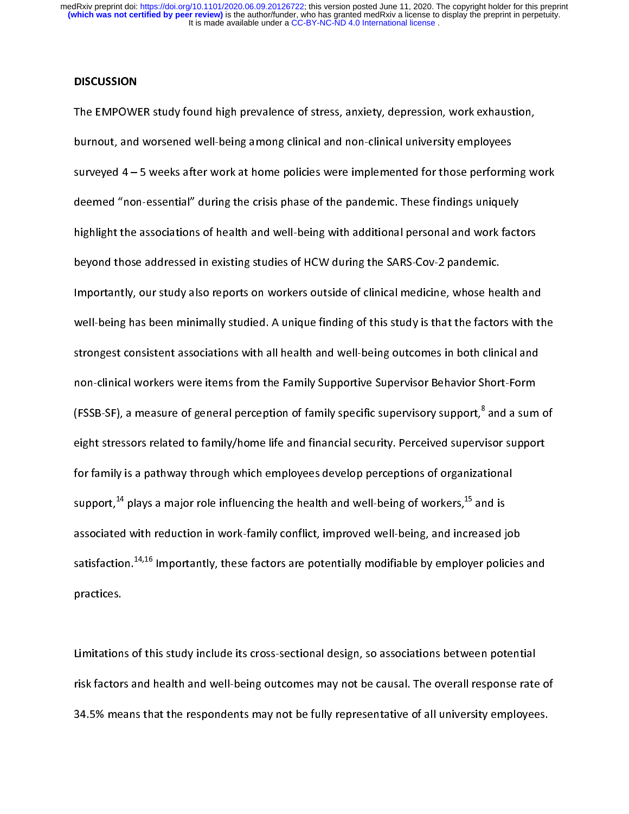#### **DISCUSSION**

the EMPON of the EMPON process of the EMPON process surveyed a more surveyed 4 – 5 weeks after work at home policies were implemented for those performing w<br>deemed "non-essential" during the crisis phase of the pandemic. T burnout, and worsened well-being among amount and well-being interactions (or those performing deemed "non-essential" during the crisis phase of the pandemic. These findings uniquely highlight the associations of health an surveyed and "non-essential" during the crisis phase of the pandemic. These findings uniquely<br>highlight the associations of health and well-being with additional personal and work factors<br>beyond those addressed in existing deemed "non-essential" analog the critic phase of the pandemic these main.go and usity<br>highlight the associations of health and well-being with additional personal and work fact<br>beyond those addressed in existing studies o heyond those addressed in existing studies of HCW during the SARS-Cov-2 pandemic.<br>Importantly, our study also reports on workers outside of clinical medicine, whose health and<br>well-being has been minimally studied. A uniqu beyonder those and importantly, our study also reports on workers outside of clinical medicine, whose head<br>well-being has been minimally studied. A unique finding of this study is that the factor<br>strongest consistent assoc Importantly, our study also reports on workers calling of this study is that the factors with the strongest consistent associations with all health and well-being outcomes in both clinical and non-clinical workers were ite strongest consistent associations with all health and well-being outcomes in both clinical and<br>non-clinical workers were items from the Family Supportive Supervisor Behavior Short-Form<br>(FSSB-SF), a measure of general perce strong-clinical workers were items from the Family Supportive Supervisor Behavior Short-Form<br>(FSSB-SF), a measure of general perception of family specific supervisory support,<sup>8</sup> and a sum<br>eight stressors related to family (FSSB-SF), a measure of general perception of family specific supervisory support,<sup>8</sup> and a sum<br>eight stressors related to family/home life and financial security. Perceived supervisor suppor<br>for family is a pathway throu (FSSB-SF), a measure of general perception of family specific supervisory support,"<br>eight stressors related to family/home life and financial security. Perceived superv<br>for family is a pathway through which employees devel isor support<br>tional<br>nd is<br>sed iob eight stressors related to change, much a manufacture complete support support<br>for family is a pathway through which employees develop perceptions of organizational<br>support,<sup>14</sup> plays a major role influencing the health an support,<sup>14</sup> plays a major role influencing the health and well-being of workers,<sup>15</sup> and is<br>associated with reduction in work-family conflict, improved well-being, and increased jo<br>satisfaction.<sup>14,16</sup> Importantly, these support,<sup>++</sup> plays a major role influencing the health and well-being of workers,<sup>+5</sup> and is<br>associated with reduction in work-family conflict, improved well-being, and increased j<br>satisfaction.<sup>14,16</sup> Importantly, these f astisfaction.<sup>14,16</sup> Importantly, these factors are potentially modifiable by employer policies<br>practices.<br>Limitations of this study include its cross-sectional design. so associations between potent satisfaction.<sup>14,16</sup> Importantly, these factors are potentially modifiable by employer policies and<br>practices.<br>Limitations of this study include its cross-sectional design, so associations between potential<br>risk factors an

r<br>Limitation<br>risk factor:<br>34.5% me:  $\frac{1}{2}$ risk factors and health and well-being outcomes may not be causal. The overall response rate<br>34.5% means that the respondents may not be fully representative of all university employee<br>The study of all university employee risk factors and health and health angles factors and y increased bandar the overall response rate of a<br>34.5% means that the respondents may not be fully representative of all university employees. 34.5% means that the respondents may not be fully representative of all university employees.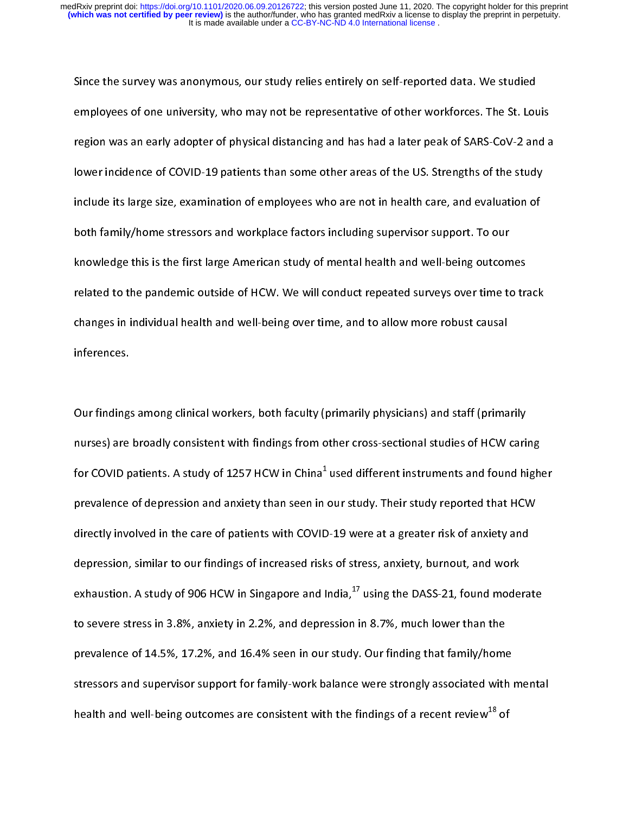employees of one university, who may not be representative of other workforces. The St. Lou<br>The survey of the survey and the survey of the survey of SARS-CoV-2 and<br>Include its large size, examination of employees who are n region was an early adopter of physical distancing and has had a later peak of SARS-CoV-2 and a<br>lower incidence of COVID-19 patients than some other areas of the US. Strengths of the study<br>include its large size, examinati region was an early adopter of physical distancing and has hadden peak of the study.<br>Iower incidence of COVID-19 patients than some other areas of the US. Strengths of the study<br>include its large size, examination of emplo include its large size, examination of employees who are not in health care, and evaluation of<br>both family/home stressors and workplace factors including supervisor support. To our<br>knowledge this is the first large America include its large size, examination of employees who are not in the including supervisor support. To our<br>both family/home stressors and workplace factors including supervisor support. To our<br>knowledge this is the first lar knowledge this is the first large American study of mental health and well-being outcom<br>related to the pandemic outside of HCW. We will conduct repeated surveys over time to<br>changes in individual health and well-being over related to the pandemic outside of HCW. We will conduct repeated surveys over time to trachanges in individual health and well-being over time, and to allow more robust causal<br>inferences. related to the pandemic outside of HCM. We can conduct repeated and you allow the conduct consider<br>changes in individual health and well-being over time, and to allow more robust causal<br>inferences.<br>Our findings among clini

inferences.<br>Changes inferences.<br>The same of inical workers, both faculty (primarily physicians) and staff (prima<br>Nurses) are broadly consistent with findings from other cross-sectional studies of HCW Our findings<br>nurses) are<br>for COVID p (<br>r<br>f The state of the state of the state of the state of HCW caring the COVID patients. A study of 1257 HCW in China<sup>1</sup> used different instruments and found hip<br>prevalence of depression and anxiety than seen in our study. Their nurses) are broadly consistent with minimalings from other cross-sectional studies of the caring for COVID patients. A study of 1257 HCW in China<sup>1</sup> used different instruments and found high<br>prevalence of depression and an for COVID patients. A study of 1257 HCW in China<sup>+</sup><br>prevalence of depression and anxiety than seen in<br>directly involved in the care of patients with COVID<br>depression, similar to our findings of increased risk<br>exhaustion. A our study. Their study reported that HCW<br>0-19 were at a greater risk of anxiety and<br>15 of stress, anxiety, burnout, and work<br>ndia.<sup>17</sup> using the DASS-21. found moderate directly involved in the care of patients with COVID-19 were at a greater risk of anxiety and<br>depression, similar to our findings of increased risks of stress, anxiety, burnout, and work<br>exhaustion. A study of 906 HCW in S depression, similar to our findings of increased risks of stress, anxiety, burnout, and work<br>exhaustion. A study of 906 HCW in Singapore and India,<sup>17</sup> using the DASS-21, found modera<br>to severe stress in 3.8%, anxiety in 2 exhaustion. A study of 906 HCW in Singapore and India,<sup>17</sup> using the DASS-21, found mode<br>to severe stress in 3.8%, anxiety in 2.2%, and depression in 8.7%, much lower than the<br>prevalence of 14.5%, 17.2%, and 16.4% seen in exhaustion. A study of 906 HCW in Singapore and India,<sup>17</sup> using the DASS-21, found moderate<br>to severe stress in 3.8%, anxiety in 2.2%, and depression in 8.7%, much lower than the<br>prevalence of 14.5%, 17.2%, and 16.4% seen prevalence of 14.5%, 17.2%, and 16.4% seen in our study. Our finding that family/home<br>stressors and supervisor support for family-work balance were strongly associated with<br>health and well-being outcomes are consistent wit pressors and supervisor support for family-work balance were strongly associated with it<br>health and well-being outcomes are consistent with the findings of a recent review<sup>18</sup> of stressers and supervisor support for family-mentalistics are strongly associated with and well-being outcomes are consistent with the findings of a recent review<sup>18</sup> of health and well-being outcomes are consistent with the findings of a recent review<sup>48</sup> of<br>indians of a recent review<sup>48</sup> of the finding of a recent review<sup>48</sup> of the finding of a recent review<sup>48</sup> of the finding of a recen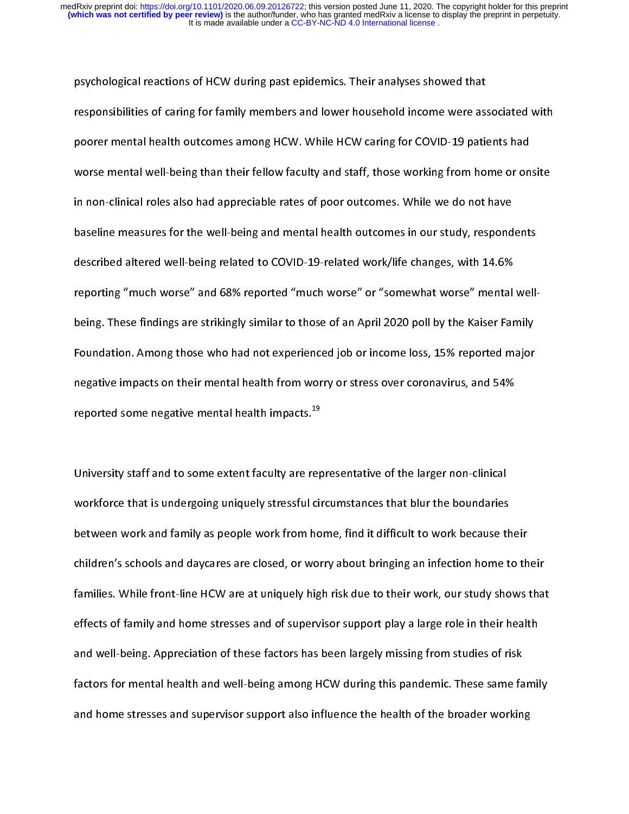psychological responsibilities of caring for family members and lower household income were associency and the<br>poorer mental health outcomes among HCW. While HCW caring for COVID-19 pation<br>worse mental well-being than thei poorer mental health outcomes among HCW. While HCW caring for COVID-19 patients had<br>worse mental well-being than their fellow faculty and staff, those working from home or onsite<br>in non-clinical roles also had appreciable poorer mental well-being than their fellow faculty and staff, those working from home or on<br>in non-clinical roles also had appreciable rates of poor outcomes. While we do not have<br>baseline measures for the well-being and m in non-clinical roles also had appreciable rates of poor outcomes. While we do not have<br>baseline measures for the well-being and mental health outcomes in our study, respondents<br>described altered well-being related to COVI in non-clinical roles also had apprended to the poor outcomes in our study, respond<br>described altered well-being related to COVID-19-related work/life changes, with 14.6%<br>reporting "much worse" and 68% reported "much worse baseline measures for the well-being related to COVID-19-related work/life changes, with 14.6%<br>reporting "much worse" and 68% reported "much worse" or "somewhat worse" mental well-<br>being. These findings are strikingly simi reporting "much worse" and 68% reported "much worse" or "somewhat worse" mental<br>being. These findings are strikingly similar to those of an April 2020 poll by the Kaiser Far<br>Foundation. Among those who had not experienced reported some negative mental health impacts.<sup>19</sup> Foundation. Among those who had not experienced job or income loss, 15% reported major<br>negative impacts on their mental health from worry or stress over coronavirus, and 54%<br>reported some negative mental health impacts.<sup>19</sup> Foundative impacts on their mental health from worry or stress over coronavirus, and 54%<br>Foundation. Among the mental health impacts. <sup>19</sup><br>University staff and to some extent faculty are representative of the larger non-cl

negative impacts on their mental health impacts.<sup>19</sup><br>The ported some negative mental health impacts.<sup>19</sup><br>University staff and to some extent faculty are representative of the larger non-clinical<br>Workforce that is undergoin reported some negative mental health impacts.<sup>19</sup><br>University staff and to some extent faculty are rep<br>workforce that is undergoing uniquely stressful cir<br>between work and family as people work from ho |<br>|<br>|<br>| University staff and to some extent faculty are representative of the larger non-clinical<br>workforce that is undergoing uniquely stressful circumstances that blur the boundaries<br>between work and family as people work from h between work and family as people work from home, find it difficult to work because th<br>children's schools and daycares are closed, or worry about bringing an infection home t<br>families. While front-line HCW are at uniquely between work and family as people work and family and families. While front-line HCW are at uniquely high risk due to their work, our study shows<br>families. While front-line HCW are at uniquely high risk due to their work, families. While front-line HCW are at uniquely high risk due to their work, our study shows that<br>effects of family and home stresses and of supervisor support play a large role in their health<br>and well-being. Appreciation effects of family and home stresses and of supervisor support play a large role in their health<br>and well-being. Appreciation of these factors has been largely missing from studies of risk<br>factors for mental health and well and well-being. Appreciation of these factors has been largely missing from studies of risk<br>factors for mental health and well-being among HCW during this pandemic. These same famil<br>and home stresses and supervisor support factors for mental health and well-being among HCW during this pandemic. These same fa<br>and home stresses and supervisor support also influence the health of the broader workin<br>and home stresses and supervisor support also and home stresses and supervisor support also influence the health of the broader working<br>and home stresses and supervisor support also influence the health of the broader working and home stresses and supervisor supervisor supervisor supervisor supervisor supervisor supervisor b<br>The broader working of the broader working of the broader working of the broader working of the broader working<br>The broad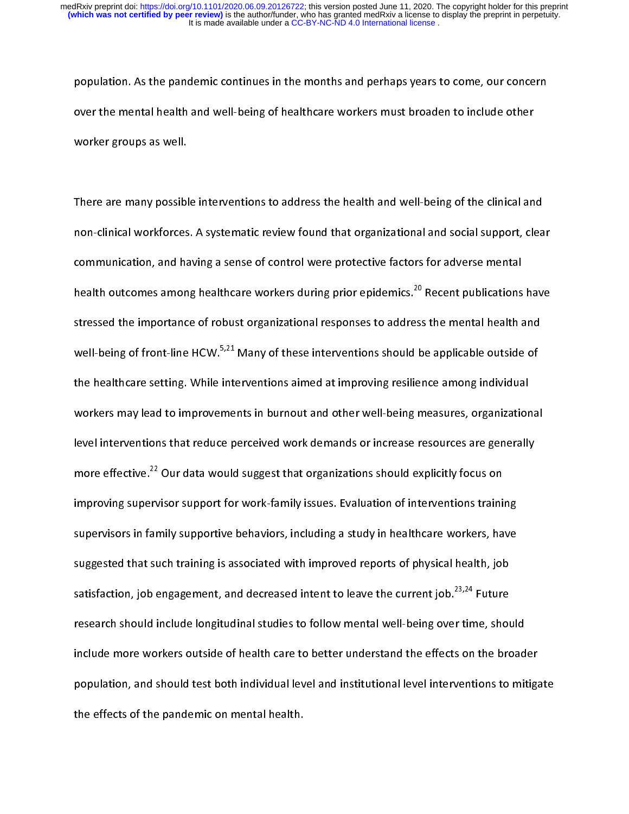population. As the mental health and well-being of healthcare workers must broaden to include other<br>worker groups as well.<br>There are many possible interventions to address the health and well-being of the clinical and

over the mental as well.<br>There are many possible interventions to address the health and well-being of the clinical an<br>There are many possible interventions to address the health and well-being of the clinical an<br>non-clini worker groups as well.<br>There are many possible interventions to address the health and well-being of the clinical and<br>non-clinical workforces. A systematic review found that organizational and social support, clear<br>communi  $\begin{array}{c} \mathbf{1} \\ \mathbf{1} \\ \mathbf{2} \\ \mathbf{3} \end{array}$ health outcomes among healthcare workers during prior epidemics.<sup>20</sup> Recent publications have<br>stressed the importance of robust organizational responses to address the mental health and non-clinical increases. A systematic review found that organizational and social support, and<br>communication, and having a sense of control were protective factors for adverse mental<br>health outcomes among healthcare workers health outcomes among healthcare workers during prior epidemics.<sup>20</sup> Recent publications<br>stressed the importance of robust organizational responses to address the mental health a<br>well-being of front-line HCW.<sup>5,21</sup> Many of health outcomes among healthcare workers during prior epidemics.<sup>20</sup> Recent publications have<br>stressed the importance of robust organizational responses to address the mental health and<br>well-being of front-line HCW.<sup>5,21</sup> stressed the interventions should be applicable outside of<br>the healthcare setting. While interventions aimed at improving resilience among individual<br>workers may lead to improvements in burnout and other well-being measure well-being of front-line HCW.<sup>5,21</sup> Many of these interventions should be applicable outside of<br>the healthcare setting. While interventions aimed at improving resilience among individual<br>workers may lead to improvements in the healthcare setting. Thus anternative attinger and other well-being measures, organization<br>workers may lead to improvements in burnout and other well-being measures, organization<br>level interventions that reduce perceive level interventions that reduce perceived work demands or increase resources are generally<br>more effective.<sup>22</sup> Our data would suggest that organizations should explicitly focus on<br>improving supervisor support for work-fami more effective.<sup>22</sup> Our data would suggest that organizations should explicitly focus on<br>improving supervisor support for work-family issues. Evaluation of interventions training<br>supervisors in family supportive behaviors, more effective.<sup>22</sup> Our data would suggest that organizations should explicitly focus on<br>improving supervisor support for work-family issues. Evaluation of interventions traini<br>supervisors in family supportive behaviors, i supervisors in family supportive behaviors, including a study in healthcare workers, have<br>suggested that such training is associated with improved reports of physical health, job<br>satisfaction, job engagement, and decreased suggested that such training is associated with improved reports of physical health, job<br>satisfaction, job engagement, and decreased intent to leave the current job.<sup>23,24</sup> Future<br>research should include longitudinal studi satisfaction, job engagement, and decreased intent to leave the current job.<sup>23,24</sup> Future<br>research should include longitudinal studies to follow mental well-being over time, shoul<br>include more workers outside of health ca satisfaction, job engagement, and decreased intent to leave the current job.<sup>23,24</sup> Future<br>research should include longitudinal studies to follow mental well-being over time, shou<br>include more workers outside of health car include more workers outside of health care to better understand the effects on the broad<br>population, and should test both individual level and institutional level interventions to mit<br>the effects of the pandemic on mental population, and should test both individual level and institutional level interventions to mitigation.<br>The effects of the pandemic on mental health.<br> population, and should test both individual level and institutional level interventions to mitigate<br>the effects of the pandemic on mental health. the effects of the pandemic on mental health.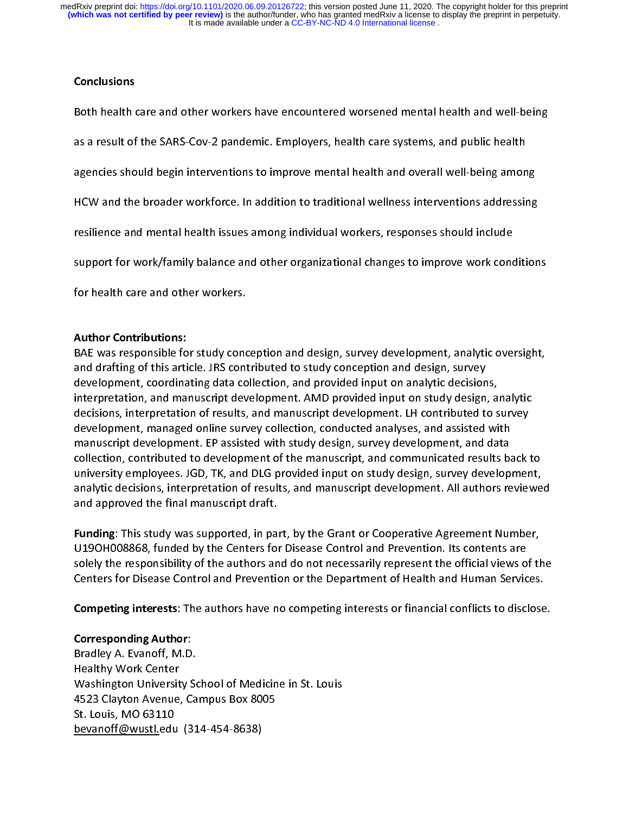It is made available under a [CC-BY-NC-ND 4.0 International license](http://creativecommons.org/licenses/by-nc-nd/4.0/) . **(which was not certified by peer review)** is the author/funder, who has granted medRxiv a license to display the preprint in perpetuity. medRxiv preprint doi: [https://doi.org/10.1101/2020.06.09.20126722;](https://doi.org/10.1101/2020.06.09.20126722) this version posted June 11, 2020. The copyright holder for this preprint

## Conclusions

as a result of the SARS-Cov-2 pandemic. Employers, health care systems, and public health<br>agencies should begin interventions to improve mental health and overall well-being among<br>HCW and the broader workforce. In addition agencies should begin interventions to improve mental health and overall well-being amon<br>HCW and the broader workforce. In addition to traditional wellness interventions addressin<br>resilience and mental health issues among agency and the broader workforce. In addition to traditional wellness interventions addressing<br>resilience and mental health issues among individual workers, responses should include<br>support for work/family balance and othe HEM and the broader workforce. In addition to traditional tradition traditional charactering<br>resilience and mental health issues among individual workers, responses should include<br>support for work/family balance and other remente and mental health issue and other organizational changes to improve work cond<br>support for work/family balance and other organizational changes to improve work cond<br>for health care and other workers.<br>Author Contribu

# **Author Contributions:**

for health care and other workers.<br>Author Contributions:<br>BAE was responsible for study conception and design, survey development, analytic oversight,<br>and drafting of this article. JRS contributed to study conception and de For health care and care in contributions:<br>BAE was responsible for study cond<br>and drafting of this article. JRS cont<br>development, coordinating data co<br>interpretation, and manuscript dev<br>decisions. interpretation of results BAE was responsible for study conception and design, survey development, analytic oversight, and drafting of this article. JRS contributed to study conception and design, survey<br>development, coordinating data collection, and provided input on analytic decisions,<br>interpretation, and manuscript development. AMD prov development, coordinating data collection, and provided input on analytic decision<br>interpretation, and manuscript development. AMD provided input on study design,<br>decisions, interpretation of results, and manuscript develo merpretation, and manuscript development. AMD provided input on study design, a<br>decisions, interpretation of results, and manuscript development. LH contributed to s<br>development, managed online survey collection, conducted decisions, interpretation of results, and manuscript development. LH contributed to survey<br>development, managed online survey collection, conducted analyses, and assisted with<br>manuscript development. EP assisted with study development, managed online survey collection, conducted analyses, and assisted with<br>manuscript development. EP assisted with study design, survey development, and data<br>collection, contributed to development of the manuscr manuscript development. EP assisted with study design, survey development, and data<br>collection, contributed to development of the manuscript, and communicated results ba<br>university employees. JGD, TK, and DLG provided inpu manuscript development of the manuscript, and communicated results battletion, contributed to development of the manuscript, and communicated results battletinity employees. JGD, TK, and DLG provided input on study design,

university employees. JGD, TK, and DLG provided input on study design, survey development,<br>analytic decisions, interpretation of results, and manuscript development. All authors reviewe<br>and approved the final manuscript dr analytic decisions, interpretation of results, and manuscript development. All authors reviewe<br>and approved the final manuscript draft.<br>**Funding**: This study was supported, in part, by the Grant or Cooperative Agreement Nu and approved the final manuscript draft.<br> **Funding**: This study was supported, in part, by the Grant or Cooperative Agreement Number,<br>
U19OH008868, funded by the Centers for Disease Control and Prevention. Its contents are Funding: This study was supported, in pair<br>U19OH008868, funded by the Centers for<br>solely the responsibility of the authors an<br>Centers for Disease Control and Preventic<br>Competing interests: The authors have no Funding: This study was supported, in part, by the Grant or Cooperative Agreement Number, Funding: This study was supported, in part, by the Grant or Cooperative Agreement Number,<br>U19OH008868, funded by the Centers for Disease Control and Prevention. Its contents are<br>solely the responsibility of the authors and solely the responsibility of the authors and do not necessarily represent the official views o<br>Centers for Disease Control and Prevention or the Department of Health and Human Servic<br>Competing interests: The authors have n

Competing interests: The authors have no competing interests or financial conflicts to disclose.

## **Corresponding Author:**

Centers for Disease Control and Prevention or the Department of Health and Human Services.<br> **Competing interests**: The authors have no competing interests or financial conflicts to disclose.<br>
Corresponding Author:<br>
Bradley Competing interests: The authors have no competing interests or financial conflicts to disclose<br>Corresponding Author:<br>Bradley A. Evanoff, M.D.<br>Healthy Work Center<br>Washington University School of Medicine in St. Louis<br>4523 Corresponding Author:<br>Corresponding Author:<br>Bradley A. Evanoff, M.D.<br>Healthy Work Center<br>Washington University School of Medicine in St. Louis<br>4523 Clayton Avenue, Campus Box 8005<br>St. Louis, MO 63110<br>bevanoff@wustl.edu (31 **Corresponding Author:**<br>Bradley A. Evanoff, M.D.<br>Healthy Work Center<br>Washington University S<br>45 23 Clayton Avenue, C.<br>St. Louis, MO 63110<br>bevanoff@wustl.edu (3 Healthy Work Center<br>Washington University So<br>4523 Clayton Avenue, Ca<br>St. Louis, MO 63110<br><u>bevanoff@wustl.</u>edu (31 Washington Universit<br>Washington Universit<br>4523 Clayton Avenue,<br>St. Louis, MO 63110<br>bevanoff@wustl.edu Washington University Supersity Medicine in St. 2<br>4523 Clayton Avenue, Campus Box 8005<br>St. Louis, MO 63110<br><u>bevanoff@wustl.</u>edu (314-454-8638) St. Louis, MO 63110<br>bevanoff@wustl.edu (314-454-8638)<br>. St. Louis, MC 6321<br><u>Bevanoff@wustl.</u>edu<br>Contract Contract Contract Contract Contract Contract Contract Contract Contract Contract Contract Contract Co  $\mathcal{L}_{\text{max}}$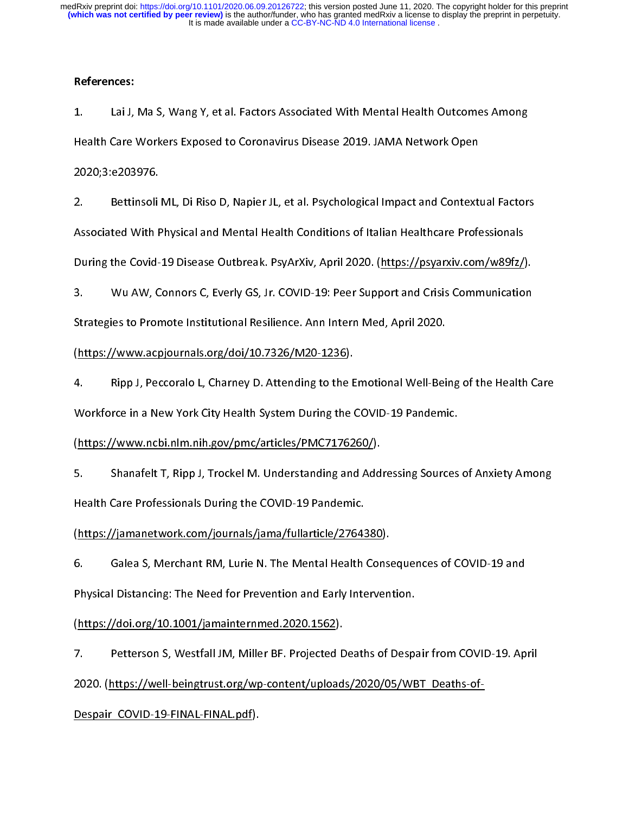#### References:

 $\frac{1}{2}$  $1.$ 1. The Health Care Workers Exposed to Coronavirus Disease 2019. JAMA Network Open<br>1. Lai J, Maria 2020;3:e203976.<br>2. Bettinsoli ML, Di Riso D, Napier JL, et al. Psychological Impact and Contextual Factor.<br>1. Associated Wit

Health Care Workers Exposed to Coronavirus Exposed to Coronavirus Disease<br>2. Bettinsoli ML, Di Riso D, Napier JL, et al. Psychological Impact and Context<br>Associated With Physical and Mental Health Conditions of Italian Hea 2. Bettinsoli<br>Associated With F<br>During the Covid-<br>3. Wu AW. C 2. Bettinson Mysical and Mental Health Conditions of Italian Healthcare Professionals<br>2. Betting the Covid-19 Disease Outbreak. PsyArXiv, April 2020. (https://psyarxiv.com/w89fz/).<br>3. Wu AW, Connors C, Everly GS, Jr. COVID Associated With Physical and Mental Mental Conditions of Indian Mental Mental Mental Mental<br>
During the Covid-19 Disease Outbreak. PsyArXiv, April 2020. (https://psyarxiv.com/w89fz/)<br>
3. Wu AW, Connors C, Everly GS, Jr. CO

During the Communication<br>
2. Wu AW, Connors C, Everly GS, Jr. COVID-19: Peer Support and Crisis Communication<br>
2. Strategies to Promote Institutional Resilience. Ann Intern Med, April 2020.<br>
2. Rinn J. Peccoralo L. Charney

3. Water, Jamese 3, 2021, 223. We can be a supported that communication<br>Strategies to Promote Institutional Resilience. Ann Intern Med, April 2020.<br>(https://www.acpjournals.org/doi/10.7326/M20-1236).<br>4. Ripp J, Peccoralo L Strategies (https://www.acpjournals.org/doi/10.7326/M20-1236).<br>4. Ripp J, Peccoralo L, Charney D. Attending to the Emotional Well-Bei<br>Workforce in a New York City Health System During the COVID-19 Pandemi<br>(https://www.ncbi (and the Barry Correction of the Barry Correction of the Barry Correction of the Barry Correction of the Section of the Section of the Section of the Section of the Section of the Section of the Section of the Section of t

4. Ripp J, Peccoral C, Charney Demanding of the Emotional Area Ding of the Health Care<br>
2. Workforce in a New York City Health System During the COVID-19 Pandemic.<br>
5. Shanafelt T, Ripp J, Trockel M. Understanding and Addr Chttps://www.ncbi.nlm.nih.gov/pmc/articles/PMC7176260/).<br>5. Shanafelt T, Ripp J, Trockel M. Understanding and Addressing Sources<br>Health Care Professionals During the COVID-19 Pandemic.<br>(https://iamanetwork.com/iournals/iam (https://immail.org/index.com/journals/jamail.org/index.com/journals/jamail.org/integration.com/journals/jamail.org/integration.com/journals/jamail.org/integration.com/journals/jamail.org/integration.com/journals/jamail.or

5. Shanafelt T, Ripp J, Trochelt M. Shanafallanding and Male Lening Sources of M. M. L. Shanafelt Care Professionals During the COVID-19 Pandemic.<br>(https://jamanetwork.com/journals/jama/fullarticle/2764380).<br>6. Galea S, Me (https://jamanetwork.com/journals/jama/fullarticle/27643<br>6. Galea S, Merchant RM, Lurie N. The Mental Health<br>Physical Distancing: The Need for Prevention and Early Inte<br>(https://doi.org/10.1001/jamainternmed.2020.1562). (https://jamanetwork.com/jamanety.com/jamanety.com/jamanety.com/<br>Physical Distancing: The Need for Prevention and Early Interven<br>(https://doi.org/10.1001/jamainternmed.2020.1562).<br>7. Petterson S. Westfall JM. Miller BF. Pr

Despair\_COVID-19-FINAL-FINAL.pdf).

Fhysical Distancing: The Need for Prevention and Early Intervention.<br>
(https://doi.org/10.1001/jamainternmed.2020.1562).<br>
7. Petterson S, Westfall JM, Miller BF. Projected Deaths of Despair from COVID-19. Ap<br>
2020. (https: 9<br>Phttps://doi.org/10.1001/jamainternmed.2020.1562).<br>Petterson S, Westfall JM, Miller BF. Projected Deaths of Despa<br>2020. (https://well-beingtrust.org/wp-content/uploads/2020/05/WE<br>Despair\_COVID-19-FINAL-FINAL.pdf). (https://well-beingtrust.org/wp-content/upload<br>2020. (https://well-beingtrust.org/wp-content/upload<br>Despair\_COVID-19-FINAL-FINAL.pdf). 2020. (https://well-beingtrust.org/wp-content/uploads/2020/05/WBT\_Deaths-of-<br>Despair\_COVID-19-FINAL-FINAL.pdf).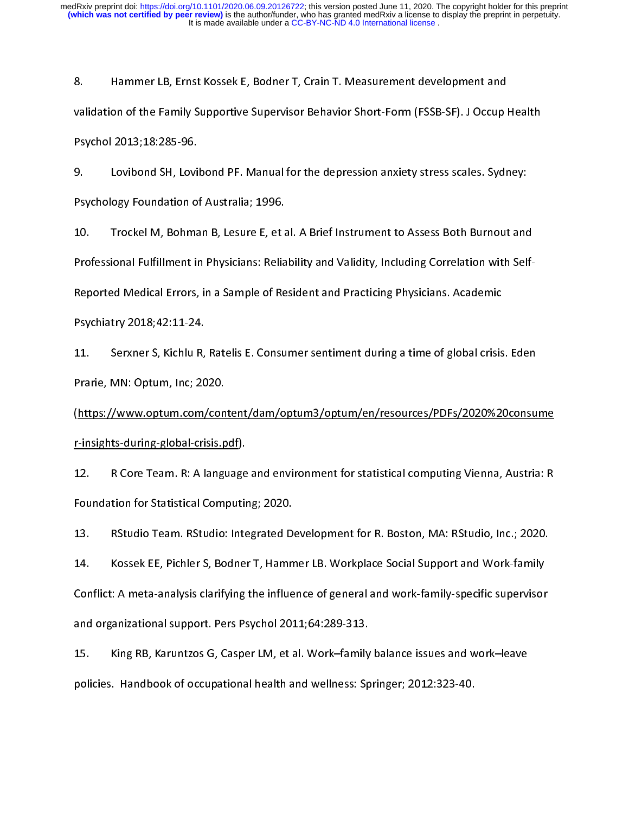8. validation of the Family Supportive Supervisor Behavior Short-Form (FSSB-SF). J Occup<br>1. Hammer Languelops Cossex Especies Porton Crain T. J Occup<br>1. Hammer Lovibond SH, Lovibond PF. Manual for the depression anxiety stres

validation of the Family Supervisor of the Sychol 2013;18:285-96.<br>
9. Lovibond SH, Lovibond PF. Manual for the depression anxiety stress scales. Sydney:<br>
Psychology Foundation of Australia; 1996.<br>
10. Trockel M. Bohman B. Psychol 2013;18:285-96.

9. Psychology Foundation of Australia; 1996.<br>10. Trockel M, Bohman B, Lesure E, et al. A Brief Instrument to Assess Both Burnout and<br>10. Trockel M, Bohman B, Lesure E, et al. A Brief Instrument to Assess Both Bur Professional Fulfillment in Alesure E, et and Professional Fulfillment in Physicians: Relia<br>Reported Medical Errors, in a Sample of Reported Medical Errors, in a Sample of Reported Medical Errors. 11. The Mariney Lemman By Lesure E, et al. A Brief Memmerican Microsoftel Medical Medical Errors, in a Sample of Resident and Practicing Physicians. Academic<br>10. The Paychiatry 2018;42:11-24.<br>11. Serxner S. Kichlu R. Ratel

Prarie, MN: Optum, Inc; 2020. Reported Medical Errors, in a Sample of Resident and Practicing Physicians Practicial Physicial Physicians.<br>
11. Serxner S, Kichlu R, Ratelis E. Consumer sentiment during a time of global crisis<br>
Prarie, MN: Optum, Inc; 20 11. Serxner S, Kichlu R,<br>Prarie, MN: Optum, Inc; 20<br>(https://www.optum.com,<br>r-insights-during-global-cri

11. Prarie, MN: Optum, Inc; 2020.<br>11. Service://www.optum.com/content/dam/optum3/optum/en/resources/PDFs/2020%20consul/<br>12. R. Core Team. R: A language and environment for statistical computing Vienna. Austrianup. Prarie, MA: Optum, 2020.<br>
(https://www.optum.com/con<br>
r-insights-during-global-crisis.p<br>
12. R Core Team. R: A langu<br>
Foundation for Statistical Com

(https://www.ort.com/content/dam/ort.com/content/dama-<br>12. R Core Team. R: A language and environment for statistical computing Vienna, Austria: R<br>13. RStudio Team. RStudio: Integrated Development for R. Boston. MA: RStudi rand government party.<br>
12. R Core Team. R: A language<br>
Foundation for Statistical Computin<br>
13. RStudio Team. RStudio: Inte<br>
14. Kossek EE. Pichler S. Bodner

12. R Core Team in Language and environment of Landmark Englang Teams, Themas is<br>13. RStudio Team. RStudio: Integrated Development for R. Boston, MA: RStudio, Inc.; 2020.<br>14. Kossek EE, Pichler S, Bodner T, Hammer LB. Work Foundation Foundation 13.<br>14. Kossek EE, Pichler S, Bodner T, Hamn<br>14. Kossek EE, Pichler S, Bodner T, Hamn<br>10. Conflict: A meta-analysis clarifying the influe<br>10. There Pichler and organizational support. Pers Psychol 14. Kossek EE, Pichler S, Bodner T, Hammer LB. Workplace Social Support and Work-family<br>Conflict: A meta-analysis clarifying the influence of general and work-family-specific supervisor<br>and organizational support. Pers Psy 14. Conflict: A meta-analysis clarifying the influence of general and work-family-specific supervisor<br>2011;64:289-313. King RB, Karuntzos G, Casper LM, et al. Work–family balance issues and work–leave<br>2012:323-40. Handbook

and organizational support. Pers Psychol 2011;64:289-313.<br>15. King RB, Karuntzos G, Casper LM, et al. Work–family balance issues and work–leave<br>policies. Handbook of occupational health and wellness: Springer; 2012:323-40. and organizational support. Pers Pythol 2021, Phase P227.<br>15. King RB, Karuntzos G, Casper LM, et al. Work–family<br>policies. Handbook of occupational health and wellness: Sp policies. Handbook of occupational health and wellness: Springer; 2012:323-40. policies. Handbook of occupational health and wellness: Springer; 2012:323-40.<br>Handbook of occupational health and wellness: Springer; 2012:323-40.<br>And we lead to occupational health and well and well and well are also spr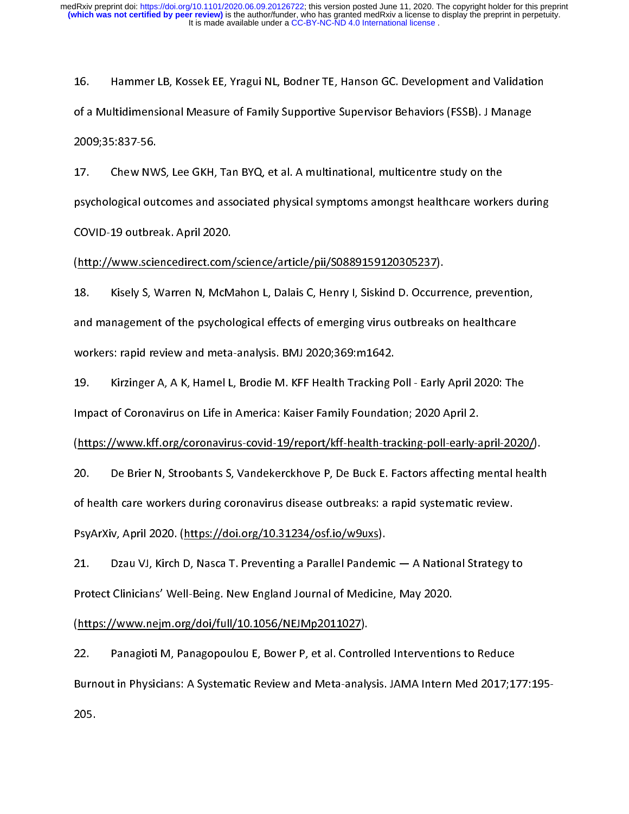16. of a Multidimensional Measure of Family Supportive Supervisor Behaviors (FSSB). J Manage<br>2009;35:837-56.<br>17. Chew NWS, Lee GKH, Tan BYQ, et al. A multinational, multicentre study on the<br>psychological outcomes and associate

of a Multimensional Measure of Augustia<br>17. Chew NWS, Lee GKH, Tan BYQ, et al. A multinational, multicentre study on the<br>19. psychological outcomes and associated physical symptoms amongst healthcare workers duro<br>2001 - Th 2009;35:837-56. 17. psychological outcomes and associated physical symptoms amongst healthcare worke<br>17. COVID-19 outbreak. April 2020.<br>18. Kisely S. Warren N. McMahon L. Dalais C. Henry L. Siskind D. Occurrence. prever

psychological substitute and associated physical symptoms amongst healthcare annual shahing<br>COVID-19 outbreak. April 2020.<br>18. Kisely S, Warren N, McMahon L, Dalais C, Henry I, Siskind D. Occurrence, prevention,<br>and manage COVID-19 ONMORMATERMICHT<br>(http://www.sciencedirect.com,<br>18. Kisely S, Warren N, McM<br>and management of the psychol<br>workers: rapid review and meta (http://www.sciencedirect.com/sciencedirect.com/sciencedirect.com/sciencedirect.com/science/article/pii/Soccurr<br>individuals and management of the psychological effects of emerging virus outbreaks<br>workers: rapid review and 18. Kisely S, Warren N, McMahon L, Dalais S, Mem, Y, Dalais D. Scenarins, prevention,<br>
20. and management of the psychological effects of emerging virus outbreaks on healthcare<br>
19. Kirzinger A, A K, Hamel L, Brodie M. KFF and management of the psychological effects of emerging virus outbreaks on healthcare<br>workers: rapid review and meta-analysis. BMJ 2020;369:m1642.<br>19. Kirzinger A, A K, Hamel L, Brodie M. KFF Health Tracking Poll - Ear

Example 19. Kirzinger A, A K, Hamel L, Brodie M. KFF Health Tracking F<br>Impact of Coronavirus on Life in America: Kaiser Family Foundation<br>(https://www.kff.org/coronavirus-covid-19/report/kff-health-tra<br>20. De Brier N. Stro Impact of Coronavirus on Life in America: Kaiser Family Foundation; 2020 April 2.<br>(https://www.kff.org/coronavirus-covid-19/report/kff-health-tracking-poll-early-april-2020<br>20. De Brier N, Stroobants S, Vandekerckhove P, D

(https://www.kff.org/coronavirus-coronavirus-coronavirus-coronavirus-coronavirus-coronavirus-coronavirus-coronavirus-coronavirus-coronavirus-disease outbreaks: a rapid systematic review.<br>PsyArXiv, April 2020. (https://doi.

Impact of Coronavirus on Lagrand Coronavirus on Life in America: International Coronavirus on De Brier N, Stroobants S, Vandekerckhove P, De Buck E. Factors affecting r<br>12020 - De Brier N, Stroobants S, Vandekerckhove P, D

20. De Brier N, Stroobants S, Vandener America, Joe Bath Brier Canceling Mental health<br>20. Of health care workers during coronavirus disease outbreaks: a rapid systematic review.<br>21. Dzau VJ, Kirch D, Nasca T. Preventing a of health care workers during the syarXiv, April 2020. (https://doi.org/10.31234/osf.io/w9uxs).<br>21. Dzau VJ, Kirch D, Nasca T. Preventing a Parallel Pandemic — A National Strategy t<br>Protect Clinicians' Well-Being. New Engl Protect Clinicians' Well-Being. New England Journal of Medicin<br>Protect Clinicians' Well-Being. New England Journal of Medicin<br>(https://www.nejm.org/doi/full/10.1056/NEJMp2011027).<br>22. Panagioti M. Panagopoulou E. Bower P.

21. Protect Clinicians' Well-Being. New England Journal of Medicine, May 2020.<br>22. Panagioti M, Panagopoulou E, Bower P, et al. Controlled Interventions to Reduce<br>22. Panagioti M, Panagopoulou E, Bower P, et al. Controlled erman (https://www.nejm.org/doi/full/10.1056/NEJMp2011027).<br>22. Panagioti M, Panagopoulou E, Bower P, et al. Controlled Intervention<br>Burnout in Physicians: A Systematic Review and Meta-analysis. JAMA Intern<br>205. (https://www.neil/10.1007/2012.pdf/2012.pdf/2012.pdf/2012.pdf/2012.pdf/2012.pdf/2011027.pdf/2011020110201102011020110201102010205.<br>Burnout in Physicians: A Systematic Review and Meta-analy<br>205. Burnout in Physicians: A Systematic Review and Meta-analysis. JAMA Intern Med 2017;1<br>205.<br>-Burnout in Physicians: A Systematic Review and Meta-analysis. JAMA Internet Meta-analysis. JAMA Internet<br>205.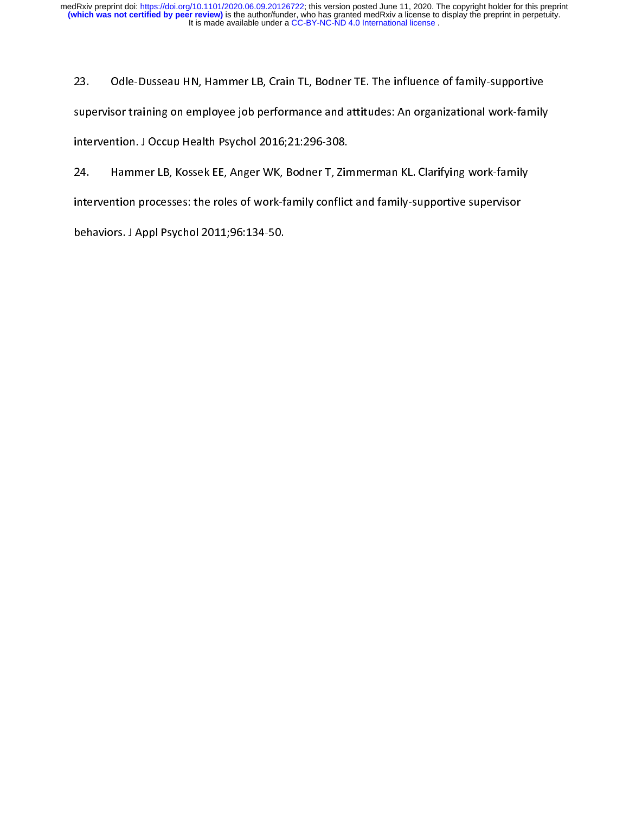23. 23. Supervisor training on employee job performance and attitudes: An organizational work-family<br>23. Intervention. J Occup Health Psychol 2016;21:296-308.<br>24. Intervention processes: the roles of work-family conflict and f

intervention. J Occup Health Psychol 2016;21:296-308.<br>24. Hammer LB, Kossek EE, Anger WK, Bodner T, Zimmerman KL. Clarifying work-family<br>intervention processes: the roles of work-family conflict and family-supportive super Intervention. The Bulp Health Psychol 2011; Anger WK, Bodner T, Zin<br>intervention processes: the roles of work-family conflict<br>behaviors. J Appl Psychol 2011; 96:134-50. 24. Hammer Lintervention processes: the roles of work-family conflict and family-supportive supervisor<br>behaviors. J Appl Psychol 2011;96:134-50.<br> intervention processes intervents of work-family, conflict and family-supportive supervisors.<br>behaviors. J Appl Psychol 2011;96:134-50. behaviors. J Appl Psychol 2011;96:134-50.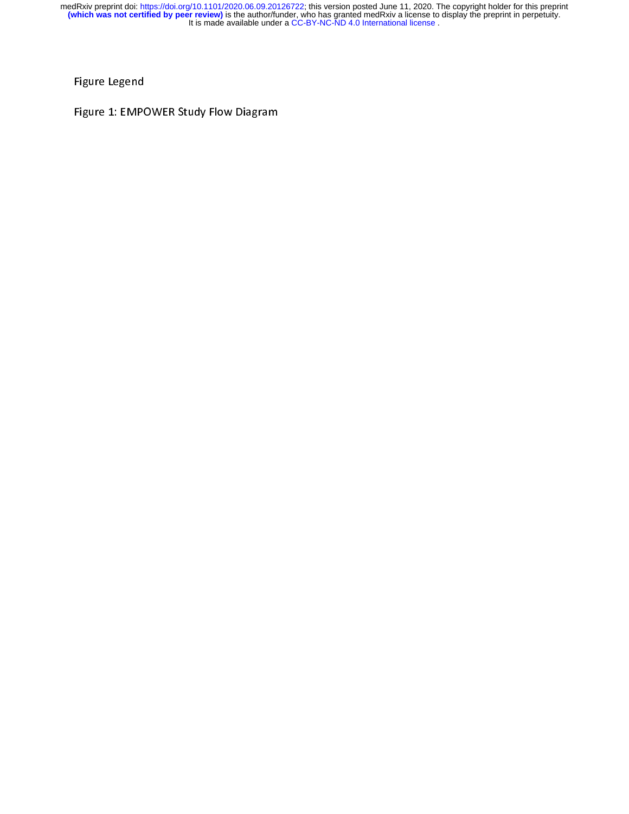Figure Legend<br>Figure 1: EMPOWER Study Flow Diagram  $\frac{1}{2}$ Figure 1: EMPOWER Study Flow Diagram